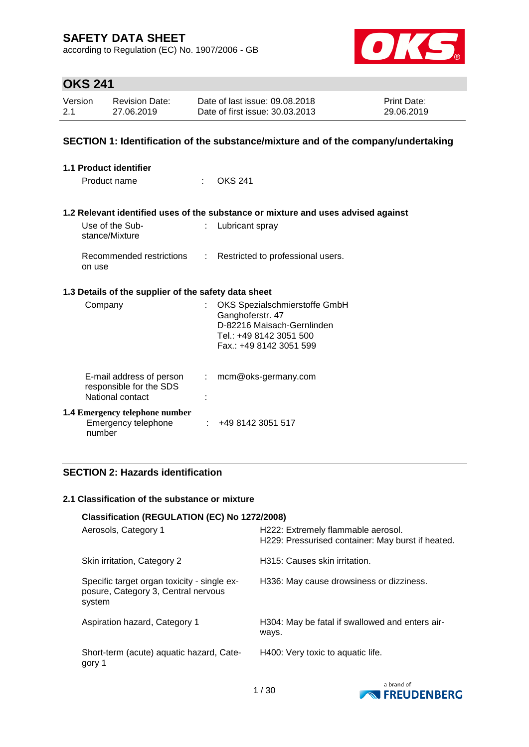according to Regulation (EC) No. 1907/2006 - GB



# **OKS 241**

| Version | <b>Revision Date:</b> | Date of last issue: 09.08.2018  | <b>Print Date:</b> |
|---------|-----------------------|---------------------------------|--------------------|
| 2.1     | 27.06.2019            | Date of first issue: 30.03.2013 | 29.06.2019         |

### **SECTION 1: Identification of the substance/mixture and of the company/undertaking**

| 1.1 Product identifier                                                  |                |                                                                                                                                       |
|-------------------------------------------------------------------------|----------------|---------------------------------------------------------------------------------------------------------------------------------------|
| Product name                                                            | t in           | <b>OKS 241</b>                                                                                                                        |
|                                                                         |                |                                                                                                                                       |
|                                                                         |                | 1.2 Relevant identified uses of the substance or mixture and uses advised against                                                     |
| Use of the Sub-<br>stance/Mixture                                       | ÷.             | Lubricant spray                                                                                                                       |
| on use                                                                  |                | Recommended restrictions : Restricted to professional users.                                                                          |
| 1.3 Details of the supplier of the safety data sheet                    |                |                                                                                                                                       |
| Company                                                                 | ÷.             | OKS Spezialschmierstoffe GmbH<br>Ganghoferstr. 47<br>D-82216 Maisach-Gernlinden<br>Tel.: +49 8142 3051 500<br>Fax.: +49 8142 3051 599 |
| E-mail address of person<br>responsible for the SDS<br>National contact | $\mathbb{R}^n$ | mcm@oks-germany.com                                                                                                                   |
| <b>1.4 Emergency telephone number</b><br>Emergency telephone<br>number  |                | : 4981423051517                                                                                                                       |

## **SECTION 2: Hazards identification**

#### **2.1 Classification of the substance or mixture**

|                                                                                              | Classification (REGULATION (EC) No 1272/2008)                                           |  |  |  |  |
|----------------------------------------------------------------------------------------------|-----------------------------------------------------------------------------------------|--|--|--|--|
| Aerosols, Category 1                                                                         | H222: Extremely flammable aerosol.<br>H229: Pressurised container: May burst if heated. |  |  |  |  |
| Skin irritation, Category 2                                                                  | H315: Causes skin irritation.                                                           |  |  |  |  |
| Specific target organ toxicity - single ex-<br>posure, Category 3, Central nervous<br>system | H336: May cause drowsiness or dizziness.                                                |  |  |  |  |
| Aspiration hazard, Category 1                                                                | H304: May be fatal if swallowed and enters air-<br>ways.                                |  |  |  |  |
| Short-term (acute) aquatic hazard, Cate-<br>gory 1                                           | H400: Very toxic to aquatic life.                                                       |  |  |  |  |

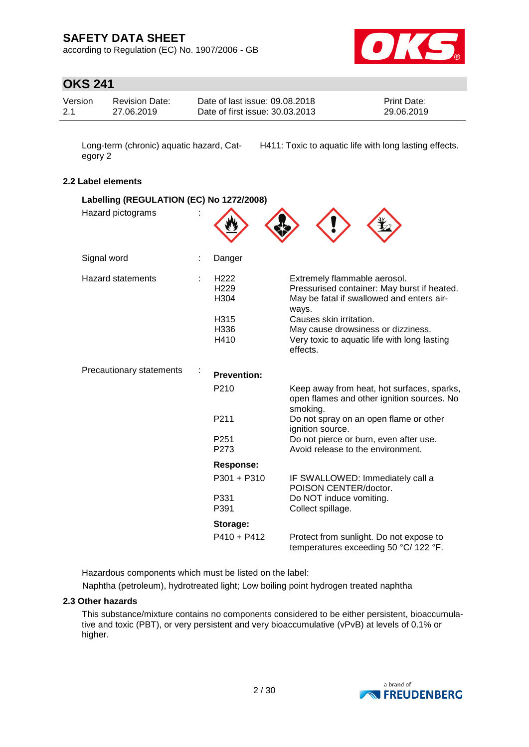according to Regulation (EC) No. 1907/2006 - GB



# **OKS 241**

| Version | <b>Revision Date:</b> | Date of last issue: 09.08.2018  | <b>Print Date:</b> |
|---------|-----------------------|---------------------------------|--------------------|
| -2.1    | 27.06.2019            | Date of first issue: 30.03.2013 | 29.06.2019         |

egory 2

Long-term (chronic) aquatic hazard, Cat-H411: Toxic to aquatic life with long lasting effects.

### **2.2 Label elements**

| Labelling (REGULATION (EC) No 1272/2008) |                                                                      |                                                                                                                                                                                                                                                                |
|------------------------------------------|----------------------------------------------------------------------|----------------------------------------------------------------------------------------------------------------------------------------------------------------------------------------------------------------------------------------------------------------|
| Hazard pictograms                        |                                                                      |                                                                                                                                                                                                                                                                |
| Signal word                              | Danger                                                               |                                                                                                                                                                                                                                                                |
| <b>Hazard statements</b>                 | H <sub>222</sub><br>H <sub>229</sub><br>H304<br>H315<br>H336<br>H410 | Extremely flammable aerosol.<br>Pressurised container: May burst if heated.<br>May be fatal if swallowed and enters air-<br>ways.<br>Causes skin irritation.<br>May cause drowsiness or dizziness.<br>Very toxic to aquatic life with long lasting<br>effects. |
| Precautionary statements                 | <b>Prevention:</b>                                                   |                                                                                                                                                                                                                                                                |
|                                          | P210                                                                 | Keep away from heat, hot surfaces, sparks,<br>open flames and other ignition sources. No<br>smoking.                                                                                                                                                           |
|                                          | P211                                                                 | Do not spray on an open flame or other<br>ignition source.                                                                                                                                                                                                     |
|                                          | P <sub>251</sub><br>P273                                             | Do not pierce or burn, even after use.<br>Avoid release to the environment.                                                                                                                                                                                    |
|                                          | <b>Response:</b>                                                     |                                                                                                                                                                                                                                                                |
|                                          | P301 + P310                                                          | IF SWALLOWED: Immediately call a<br>POISON CENTER/doctor.                                                                                                                                                                                                      |
|                                          | P331<br>P391                                                         | Do NOT induce vomiting.<br>Collect spillage.                                                                                                                                                                                                                   |
|                                          | Storage:                                                             |                                                                                                                                                                                                                                                                |
|                                          | $P410 + P412$                                                        | Protect from sunlight. Do not expose to<br>temperatures exceeding 50 °C/ 122 °F.                                                                                                                                                                               |

Hazardous components which must be listed on the label:

Naphtha (petroleum), hydrotreated light; Low boiling point hydrogen treated naphtha

### **2.3 Other hazards**

This substance/mixture contains no components considered to be either persistent, bioaccumulative and toxic (PBT), or very persistent and very bioaccumulative (vPvB) at levels of 0.1% or higher.

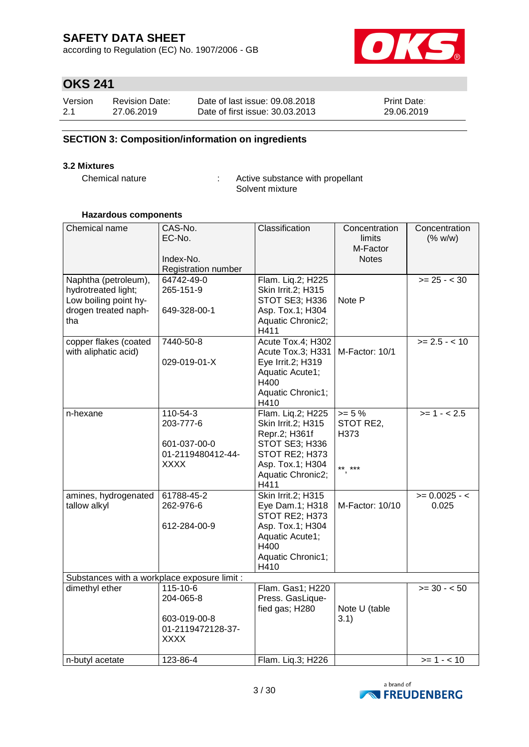according to Regulation (EC) No. 1907/2006 - GB



# **OKS 241**

| Version | <b>Revision Date:</b> | Date of last issue: 09.08.2018  | <b>Print Date:</b> |
|---------|-----------------------|---------------------------------|--------------------|
| 2.1     | 27.06.2019            | Date of first issue: 30.03.2013 | 29.06.2019         |

## **SECTION 3: Composition/information on ingredients**

#### **3.2 Mixtures**

Chemical nature : Active substance with propellant Solvent mixture

#### **Hazardous components**

| Chemical name                                                                                       | CAS-No.<br>EC-No.<br>Index-No.<br>Registration number                     | Classification                                                                                                                                | Concentration<br>limits<br>M-Factor<br><b>Notes</b> | Concentration<br>(% w/w)              |
|-----------------------------------------------------------------------------------------------------|---------------------------------------------------------------------------|-----------------------------------------------------------------------------------------------------------------------------------------------|-----------------------------------------------------|---------------------------------------|
| Naphtha (petroleum),<br>hydrotreated light;<br>Low boiling point hy-<br>drogen treated naph-<br>tha | 64742-49-0<br>265-151-9<br>649-328-00-1                                   | Flam. Lig.2; H225<br>Skin Irrit.2; H315<br>STOT SE3; H336<br>Asp. Tox.1; H304<br>Aquatic Chronic2;<br>H411                                    | Note P                                              | $>= 25 - < 30$                        |
| copper flakes (coated<br>with aliphatic acid)                                                       | 7440-50-8<br>029-019-01-X                                                 | Acute Tox.4; H302<br>Acute Tox.3; H331   M-Factor: 10/1<br>Eye Irrit.2; H319<br>Aquatic Acute1;<br>H400<br>Aquatic Chronic1;<br>H410          |                                                     | $>= 2.5 - 10$                         |
| n-hexane                                                                                            | 110-54-3<br>203-777-6<br>601-037-00-0<br>01-2119480412-44-<br><b>XXXX</b> | Flam. Liq.2; H225<br>Skin Irrit.2; H315<br>Repr.2; H361f<br>STOT SE3; H336<br>STOT RE2; H373<br>Asp. Tox.1; H304<br>Aquatic Chronic2;<br>H411 | $>= 5 \%$<br>STOT RE2,<br>H373<br>$***$ ***         | $>= 1 - 2.5$                          |
| amines, hydrogenated<br>tallow alkyl                                                                | 61788-45-2<br>262-976-6<br>612-284-00-9                                   | <b>Skin Irrit.2; H315</b><br>Eye Dam.1; H318<br>STOT RE2; H373<br>Asp. Tox.1; H304<br>Aquatic Acute1;<br>H400<br>Aquatic Chronic1;<br>H410    | M-Factor: 10/10                                     | $>= 0.0025 - c$<br>0.025              |
| Substances with a workplace exposure limit :                                                        |                                                                           |                                                                                                                                               |                                                     |                                       |
| dimethyl ether                                                                                      | 115-10-6<br>204-065-8<br>603-019-00-8<br>01-2119472128-37-<br><b>XXXX</b> | Flam. Gas1; H220<br>Press. GasLique-<br>fied gas; H280                                                                                        | Note U (table<br>3.1)                               | $\overline{\phantom{0}}$ >= 30 - < 50 |
| n-butyl acetate                                                                                     | 123-86-4                                                                  | Flam. Liq.3; H226                                                                                                                             |                                                     | $>= 1 - 10$                           |

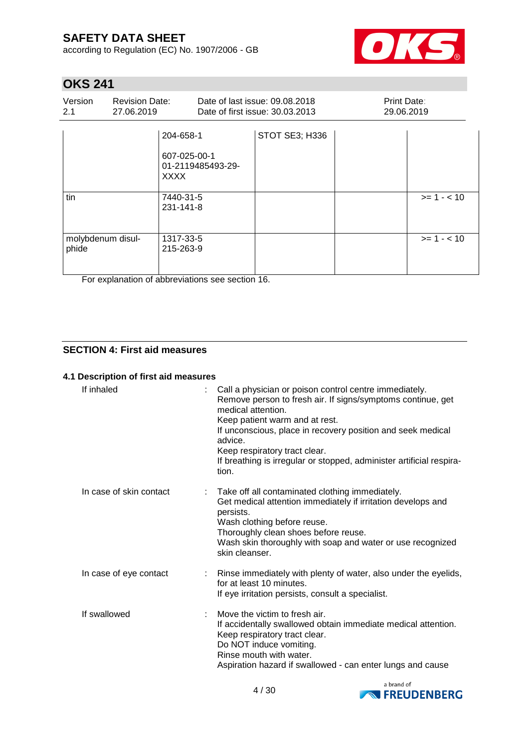according to Regulation (EC) No. 1907/2006 - GB



# **OKS 241**

| Version<br>2.1             | <b>Revision Date:</b><br>27.06.2019 |                                                                                         | Date of last issue: 09.08.2018<br>Date of first issue: 30.03.2013 | Print Date:<br>29.06.2019 |             |
|----------------------------|-------------------------------------|-----------------------------------------------------------------------------------------|-------------------------------------------------------------------|---------------------------|-------------|
| tin                        |                                     | 204-658-1<br>607-025-00-1<br>01-2119485493-29-<br><b>XXXX</b><br>7440-31-5<br>231-141-8 | STOT SE3; H336                                                    |                           | $>= 1 - 10$ |
| molybdenum disul-<br>phide |                                     | 1317-33-5<br>215-263-9                                                                  |                                                                   |                           | $>= 1 - 10$ |

For explanation of abbreviations see section 16.

### **SECTION 4: First aid measures**

#### **4.1 Description of first aid measures**

| If inhaled              | Call a physician or poison control centre immediately.<br>Remove person to fresh air. If signs/symptoms continue, get<br>medical attention.<br>Keep patient warm and at rest.<br>If unconscious, place in recovery position and seek medical<br>advice.<br>Keep respiratory tract clear.<br>If breathing is irregular or stopped, administer artificial respira-<br>tion. |
|-------------------------|---------------------------------------------------------------------------------------------------------------------------------------------------------------------------------------------------------------------------------------------------------------------------------------------------------------------------------------------------------------------------|
| In case of skin contact | Take off all contaminated clothing immediately.<br>Get medical attention immediately if irritation develops and<br>persists.<br>Wash clothing before reuse.<br>Thoroughly clean shoes before reuse.<br>Wash skin thoroughly with soap and water or use recognized<br>skin cleanser.                                                                                       |
| In case of eye contact  | : Rinse immediately with plenty of water, also under the eyelids,<br>for at least 10 minutes.<br>If eye irritation persists, consult a specialist.                                                                                                                                                                                                                        |
| If swallowed            | Move the victim to fresh air.<br>If accidentally swallowed obtain immediate medical attention.<br>Keep respiratory tract clear.<br>Do NOT induce vomiting.<br>Rinse mouth with water.<br>Aspiration hazard if swallowed - can enter lungs and cause                                                                                                                       |

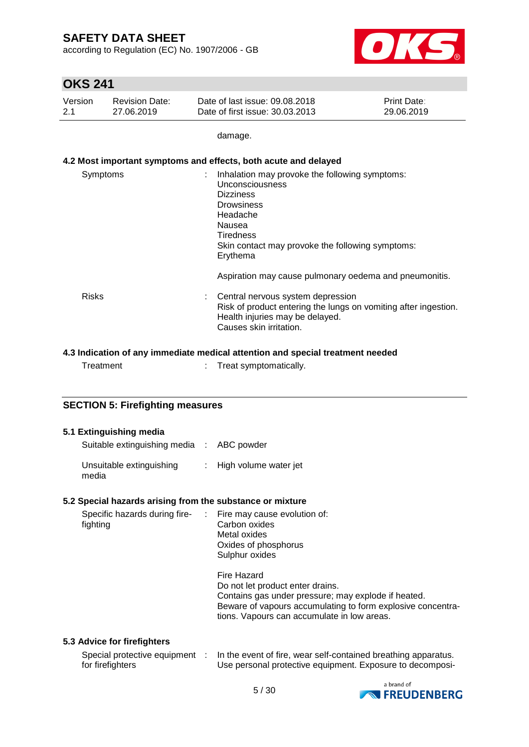according to Regulation (EC) No. 1907/2006 - GB



# **OKS 241**

| Version | <b>Revision Date:</b> | Date of last issue: 09.08.2018  | <b>Print Date:</b> |
|---------|-----------------------|---------------------------------|--------------------|
| 2.1     | 27.06.2019            | Date of first issue: 30.03.2013 | 29.06.2019         |

damage.

### **4.2 Most important symptoms and effects, both acute and delayed**

| Symptoms     | Inhalation may provoke the following symptoms:<br>Unconsciousness<br><b>Dizziness</b><br><b>Drowsiness</b><br>Headache<br>Nausea<br><b>Tiredness</b><br>Skin contact may provoke the following symptoms:<br>Erythema |
|--------------|----------------------------------------------------------------------------------------------------------------------------------------------------------------------------------------------------------------------|
|              | Aspiration may cause pulmonary oedema and pneumonitis.                                                                                                                                                               |
| <b>Risks</b> | Central nervous system depression<br>Risk of product entering the lungs on vomiting after ingestion.<br>Health injuries may be delayed.<br>Causes skin irritation.                                                   |

### **4.3 Indication of any immediate medical attention and special treatment needed**

|  | Treatment |  | Treat symptomatically. |
|--|-----------|--|------------------------|
|--|-----------|--|------------------------|

### **SECTION 5: Firefighting measures**

### **5.1 Extinguishing media**

| Suitable extinguishing media : ABC powder |                         |
|-------------------------------------------|-------------------------|
| Unsuitable extinguishing<br>media         | : High volume water jet |

#### **5.2 Special hazards arising from the substance or mixture**

| fighting | Metal oxides<br>Oxides of phosphorus<br>Sulphur oxides                                                                                                                                                               |
|----------|----------------------------------------------------------------------------------------------------------------------------------------------------------------------------------------------------------------------|
|          | Fire Hazard<br>Do not let product enter drains.<br>Contains gas under pressure; may explode if heated.<br>Beware of vapours accumulating to form explosive concentra-<br>tions. Vapours can accumulate in low areas. |

### **5.3 Advice for firefighters**

| Special protective equipment | In the event of fire, wear self-contained breathing apparatus. |
|------------------------------|----------------------------------------------------------------|
| for firefighters             | Use personal protective equipment. Exposure to decomposi-      |

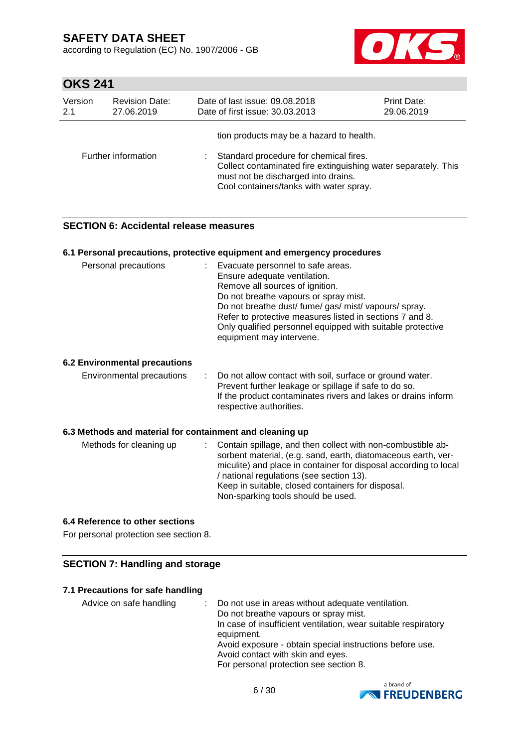according to Regulation (EC) No. 1907/2006 - GB



# **OKS 241**

| Version | <b>Revision Date:</b> | Date of last issue: 09.08.2018                                                                                                                                                                                                         | <b>Print Date:</b> |
|---------|-----------------------|----------------------------------------------------------------------------------------------------------------------------------------------------------------------------------------------------------------------------------------|--------------------|
| 2.1     | 27.06.2019            | Date of first issue: 30.03.2013                                                                                                                                                                                                        | 29.06.2019         |
|         | Further information   | tion products may be a hazard to health.<br>Standard procedure for chemical fires.<br>Collect contaminated fire extinguishing water separately. This<br>must not be discharged into drains.<br>Cool containers/tanks with water spray. |                    |

### **SECTION 6: Accidental release measures**

#### **6.1 Personal precautions, protective equipment and emergency procedures**

| Personal precautions                 | : Evacuate personnel to safe areas.<br>Ensure adequate ventilation.<br>Remove all sources of ignition.<br>Do not breathe vapours or spray mist.<br>Do not breathe dust/ fume/ gas/ mist/ vapours/ spray.<br>Refer to protective measures listed in sections 7 and 8.<br>Only qualified personnel equipped with suitable protective<br>equipment may intervene. |
|--------------------------------------|----------------------------------------------------------------------------------------------------------------------------------------------------------------------------------------------------------------------------------------------------------------------------------------------------------------------------------------------------------------|
| <b>6.2 Environmental precautions</b> |                                                                                                                                                                                                                                                                                                                                                                |
| Environmental precautions            | : Do not allow contact with soil, surface or ground water.<br>Prevent further leakage or spillage if safe to do so.<br>If the product contaminates rivers and lakes or drains inform<br>respective authorities.                                                                                                                                                |

#### **6.3 Methods and material for containment and cleaning up**

| Methods for cleaning up |  | : Contain spillage, and then collect with non-combustible ab-<br>sorbent material, (e.g. sand, earth, diatomaceous earth, ver-<br>miculite) and place in container for disposal according to local<br>/ national regulations (see section 13).<br>Keep in suitable, closed containers for disposal.<br>Non-sparking tools should be used. |
|-------------------------|--|-------------------------------------------------------------------------------------------------------------------------------------------------------------------------------------------------------------------------------------------------------------------------------------------------------------------------------------------|
|-------------------------|--|-------------------------------------------------------------------------------------------------------------------------------------------------------------------------------------------------------------------------------------------------------------------------------------------------------------------------------------------|

### **6.4 Reference to other sections**

For personal protection see section 8.

### **SECTION 7: Handling and storage**

#### **7.1 Precautions for safe handling**

Advice on safe handling : Do not use in areas without adequate ventilation. Do not breathe vapours or spray mist. In case of insufficient ventilation, wear suitable respiratory equipment. Avoid exposure - obtain special instructions before use. Avoid contact with skin and eyes. For personal protection see section 8.

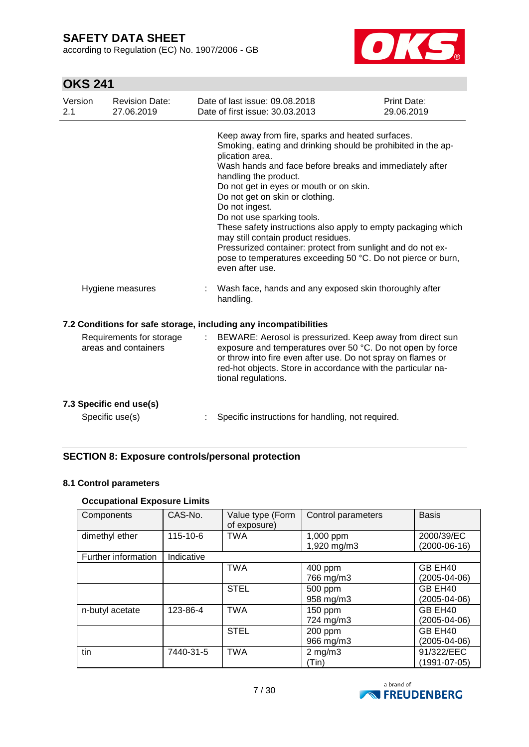according to Regulation (EC) No. 1907/2006 - GB



# **OKS 241**

| Version<br>2.1 | <b>Revision Date:</b><br>27.06.2019              | Date of last issue: 09.08.2018<br>Date of first issue: 30.03.2013                                                                                                                                                                                                                                                                                                                                                                                                                                                                                                                                               | Print Date:<br>29.06.2019 |
|----------------|--------------------------------------------------|-----------------------------------------------------------------------------------------------------------------------------------------------------------------------------------------------------------------------------------------------------------------------------------------------------------------------------------------------------------------------------------------------------------------------------------------------------------------------------------------------------------------------------------------------------------------------------------------------------------------|---------------------------|
|                |                                                  | Keep away from fire, sparks and heated surfaces.<br>Smoking, eating and drinking should be prohibited in the ap-<br>plication area.<br>Wash hands and face before breaks and immediately after<br>handling the product.<br>Do not get in eyes or mouth or on skin.<br>Do not get on skin or clothing.<br>Do not ingest.<br>Do not use sparking tools.<br>These safety instructions also apply to empty packaging which<br>may still contain product residues.<br>Pressurized container: protect from sunlight and do not ex-<br>pose to temperatures exceeding 50 °C. Do not pierce or burn,<br>even after use. |                           |
|                | Hygiene measures                                 | Wash face, hands and any exposed skin thoroughly after<br>handling.                                                                                                                                                                                                                                                                                                                                                                                                                                                                                                                                             |                           |
|                |                                                  | 7.2 Conditions for safe storage, including any incompatibilities                                                                                                                                                                                                                                                                                                                                                                                                                                                                                                                                                |                           |
|                | Requirements for storage<br>areas and containers | BEWARE: Aerosol is pressurized. Keep away from direct sun<br>exposure and temperatures over 50 °C. Do not open by force<br>or throw into fire even after use. Do not spray on flames or<br>red-hot objects. Store in accordance with the particular na-<br>tional regulations.                                                                                                                                                                                                                                                                                                                                  |                           |
|                | 7.3 Specific end use(s)                          |                                                                                                                                                                                                                                                                                                                                                                                                                                                                                                                                                                                                                 |                           |
|                | Specific use(s)                                  | Specific instructions for handling, not required.                                                                                                                                                                                                                                                                                                                                                                                                                                                                                                                                                               |                           |

## **SECTION 8: Exposure controls/personal protection**

#### **8.1 Control parameters**

## **Occupational Exposure Limits**

| Components          | CAS-No.        | Value type (Form<br>of exposure) | Control parameters       | <b>Basis</b>                 |
|---------------------|----------------|----------------------------------|--------------------------|------------------------------|
| dimethyl ether      | $115 - 10 - 6$ | <b>TWA</b>                       | 1,000 ppm<br>1,920 mg/m3 | 2000/39/EC<br>$(2000-06-16)$ |
| Further information | Indicative     |                                  |                          |                              |
|                     |                | <b>TWA</b>                       | 400 ppm                  | GB EH40                      |
|                     |                |                                  | 766 mg/m3                | (2005-04-06)                 |
|                     |                | <b>STEL</b>                      | 500 ppm                  | GB EH40                      |
|                     |                |                                  | 958 mg/m3                | (2005-04-06)                 |
| n-butyl acetate     | 123-86-4       | <b>TWA</b>                       | 150 ppm                  | GB EH40                      |
|                     |                |                                  | 724 mg/m3                | (2005-04-06)                 |
|                     |                | <b>STEL</b>                      | 200 ppm                  | GB EH40                      |
|                     |                |                                  | 966 mg/m3                | (2005-04-06)                 |
| tin                 | 7440-31-5      | <b>TWA</b>                       | $2$ mg/m $3$             | 91/322/EEC                   |
|                     |                |                                  | (Tin)                    | (1991-07-05)                 |

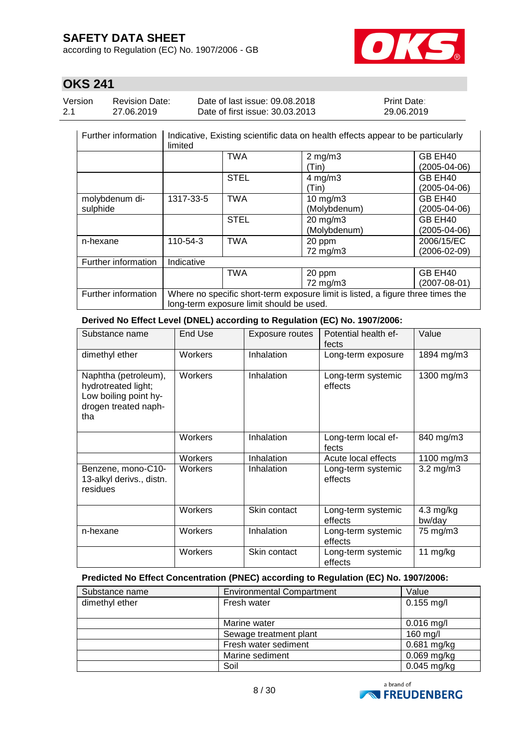according to Regulation (EC) No. 1907/2006 - GB



# **OKS 241**

| Version | <b>Revision Date:</b> | Date of last issue: 09.08.2018  | <b>Print Date:</b> |
|---------|-----------------------|---------------------------------|--------------------|
| 2.1     | 27.06.2019            | Date of first issue: 30.03.2013 | 29.06.2019         |

| Further information | Indicative, Existing scientific data on health effects appear to be particularly<br>limited |             |                     |                    |
|---------------------|---------------------------------------------------------------------------------------------|-------------|---------------------|--------------------|
|                     |                                                                                             | <b>TWA</b>  | $2$ mg/m $3$        | GB EH40            |
|                     |                                                                                             |             | (Tin)               | (2005-04-06)       |
|                     |                                                                                             | <b>STEL</b> | $4$ mg/m $3$        | GB EH40            |
|                     |                                                                                             |             | (Tin)               | (2005-04-06)       |
| molybdenum di-      | 1317-33-5                                                                                   | TWA         | 10 $mg/m3$          | GB EH40            |
| sulphide            |                                                                                             |             | (Molybdenum)        | (2005-04-06)       |
|                     |                                                                                             | <b>STEL</b> | $20 \text{ mg/m}$ 3 | GB EH40            |
|                     |                                                                                             |             | (Molybdenum)        | $(2005 - 04 - 06)$ |
| n-hexane            | 110-54-3                                                                                    | TWA         | 20 ppm              | 2006/15/EC         |
|                     |                                                                                             |             | 72 mg/m3            | $(2006 - 02 - 09)$ |
| Further information | Indicative                                                                                  |             |                     |                    |
|                     |                                                                                             | <b>TWA</b>  | 20 ppm              | GB EH40            |
|                     |                                                                                             |             | 72 mg/m3            | $(2007 - 08 - 01)$ |
| Further information | Where no specific short-term exposure limit is listed, a figure three times the             |             |                     |                    |
|                     | long-term exposure limit should be used.                                                    |             |                     |                    |

**Derived No Effect Level (DNEL) according to Regulation (EC) No. 1907/2006:**

| Substance name                                                                                      | End Use | Exposure routes | Potential health ef-<br>fects | Value                         |
|-----------------------------------------------------------------------------------------------------|---------|-----------------|-------------------------------|-------------------------------|
| dimethyl ether                                                                                      | Workers | Inhalation      | Long-term exposure            | 1894 mg/m3                    |
| Naphtha (petroleum),<br>hydrotreated light;<br>Low boiling point hy-<br>drogen treated naph-<br>tha | Workers | Inhalation      | Long-term systemic<br>effects | 1300 mg/m3                    |
|                                                                                                     | Workers | Inhalation      | Long-term local ef-<br>fects  | 840 mg/m3                     |
|                                                                                                     | Workers | Inhalation      | Acute local effects           | 1100 mg/m3                    |
| Benzene, mono-C10-<br>13-alkyl derivs., distn.<br>residues                                          | Workers | Inhalation      | Long-term systemic<br>effects | $3.2 \text{ mg/m}$ 3          |
|                                                                                                     | Workers | Skin contact    | Long-term systemic<br>effects | $4.3 \text{ mg/kg}$<br>bw/day |
| n-hexane                                                                                            | Workers | Inhalation      | Long-term systemic<br>effects | 75 mg/m3                      |
|                                                                                                     | Workers | Skin contact    | Long-term systemic<br>effects | 11 mg/kg                      |

#### **Predicted No Effect Concentration (PNEC) according to Regulation (EC) No. 1907/2006:**

| Substance name | <b>Environmental Compartment</b> | Value         |
|----------------|----------------------------------|---------------|
| dimethyl ether | Fresh water                      | $0.155$ mg/l  |
|                |                                  |               |
|                | Marine water                     | $0.016$ mg/l  |
|                | Sewage treatment plant           | 160 mg/l      |
|                | Fresh water sediment             | $0.681$ mg/kg |
|                | Marine sediment                  | $0.069$ mg/kg |
|                | Soil                             | 0.045 mg/kg   |

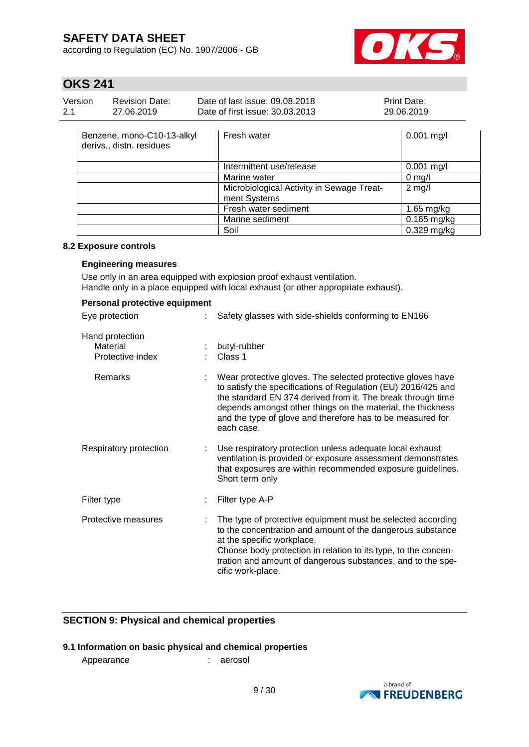according to Regulation (EC) No. 1907/2006 - GB



# **OKS 241**

| Version | Revision Date: | Date of last issue: 09.08.2018  | <b>Print Date:</b> |
|---------|----------------|---------------------------------|--------------------|
| 2.1     | 27.06.2019     | Date of first issue: 30.03.2013 | 29.06.2019         |

| Benzene, mono-C10-13-alkyl<br>derivs., distn. residues | Fresh water                                               | $0.001$ mg/l  |
|--------------------------------------------------------|-----------------------------------------------------------|---------------|
|                                                        | Intermittent use/release                                  | $0.001$ mg/l  |
|                                                        | Marine water                                              | $0$ mg/l      |
|                                                        | Microbiological Activity in Sewage Treat-<br>ment Systems | $2$ mg/l      |
|                                                        | Fresh water sediment                                      | $1.65$ mg/kg  |
|                                                        | Marine sediment                                           | $0.165$ mg/kg |
|                                                        | Soil                                                      | $0.329$ mg/kg |

#### **8.2 Exposure controls**

### **Engineering measures**

Use only in an area equipped with explosion proof exhaust ventilation. Handle only in a place equipped with local exhaust (or other appropriate exhaust).

| Personal protective equipment                   |                                                                                                                                                                                                                                                                                                                                        |  |  |  |  |
|-------------------------------------------------|----------------------------------------------------------------------------------------------------------------------------------------------------------------------------------------------------------------------------------------------------------------------------------------------------------------------------------------|--|--|--|--|
| Eye protection                                  | Safety glasses with side-shields conforming to EN166                                                                                                                                                                                                                                                                                   |  |  |  |  |
| Hand protection<br>Material<br>Protective index | butyl-rubber<br>Class 1                                                                                                                                                                                                                                                                                                                |  |  |  |  |
| Remarks                                         | Wear protective gloves. The selected protective gloves have<br>to satisfy the specifications of Regulation (EU) 2016/425 and<br>the standard EN 374 derived from it. The break through time<br>depends amongst other things on the material, the thickness<br>and the type of glove and therefore has to be measured for<br>each case. |  |  |  |  |
| Respiratory protection                          | Use respiratory protection unless adequate local exhaust<br>ventilation is provided or exposure assessment demonstrates<br>that exposures are within recommended exposure guidelines.<br>Short term only                                                                                                                               |  |  |  |  |
| Filter type                                     | Filter type A-P                                                                                                                                                                                                                                                                                                                        |  |  |  |  |
| Protective measures                             | The type of protective equipment must be selected according<br>to the concentration and amount of the dangerous substance<br>at the specific workplace.<br>Choose body protection in relation to its type, to the concen-<br>tration and amount of dangerous substances, and to the spe-<br>cific work-place.                          |  |  |  |  |

### **SECTION 9: Physical and chemical properties**

## **9.1 Information on basic physical and chemical properties**

Appearance : aerosol

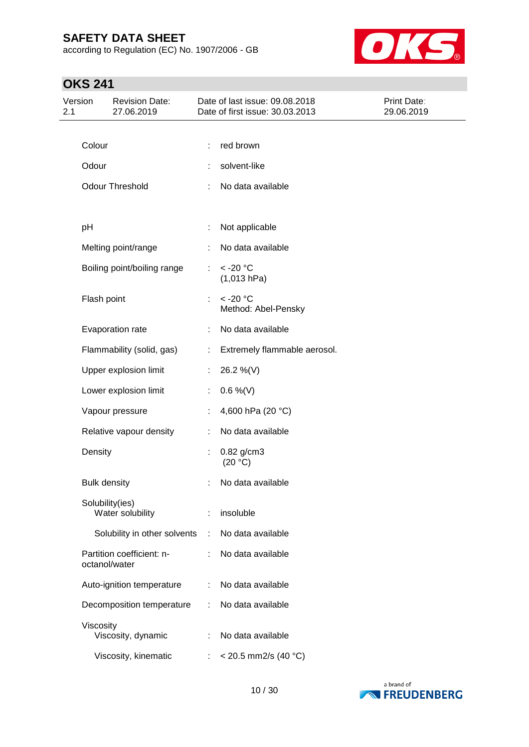according to Regulation (EC) No. 1907/2006 - GB



| Version<br>2.1 |                           | <b>Revision Date:</b><br>27.06.2019 | Date of last issue: 09.08.2018<br>Date of first issue: 30.03.2013 |                                     | Print Date:<br>29.06.2019 |
|----------------|---------------------------|-------------------------------------|-------------------------------------------------------------------|-------------------------------------|---------------------------|
|                |                           |                                     |                                                                   |                                     |                           |
|                | Colour                    |                                     |                                                                   | red brown                           |                           |
|                | Odour                     |                                     |                                                                   | solvent-like                        |                           |
|                |                           | <b>Odour Threshold</b>              | ÷                                                                 | No data available                   |                           |
|                |                           |                                     |                                                                   |                                     |                           |
|                | pH                        |                                     | t                                                                 | Not applicable                      |                           |
|                |                           | Melting point/range                 |                                                                   | No data available                   |                           |
|                |                           | Boiling point/boiling range         | t.                                                                | $<$ -20 $^{\circ}$ C<br>(1,013 hPa) |                           |
|                | Flash point               |                                     | ÷                                                                 | $< -20$ °C<br>Method: Abel-Pensky   |                           |
|                |                           | Evaporation rate                    |                                                                   | No data available                   |                           |
|                |                           | Flammability (solid, gas)           | ÷                                                                 | Extremely flammable aerosol.        |                           |
|                |                           | Upper explosion limit               | ÷.                                                                | 26.2 %(V)                           |                           |
|                |                           | Lower explosion limit               | ÷                                                                 | $0.6\%$ (V)                         |                           |
|                |                           | Vapour pressure                     |                                                                   | 4,600 hPa (20 °C)                   |                           |
|                |                           | Relative vapour density             | ÷                                                                 | No data available                   |                           |
|                | Density                   |                                     | t                                                                 | 0.82 g/cm3<br>(20 °C)               |                           |
|                | <b>Bulk density</b>       |                                     |                                                                   | No data available                   |                           |
|                | Solubility(ies)           | Water solubility                    |                                                                   | insoluble                           |                           |
|                |                           | Solubility in other solvents        | ÷                                                                 | No data available                   |                           |
|                | octanol/water             | Partition coefficient: n-           |                                                                   | No data available                   |                           |
|                |                           | Auto-ignition temperature           | t                                                                 | No data available                   |                           |
|                | Decomposition temperature |                                     |                                                                   | No data available                   |                           |
|                | Viscosity                 | Viscosity, dynamic                  |                                                                   | No data available                   |                           |
|                |                           | Viscosity, kinematic                |                                                                   | $<$ 20.5 mm2/s (40 °C)              |                           |

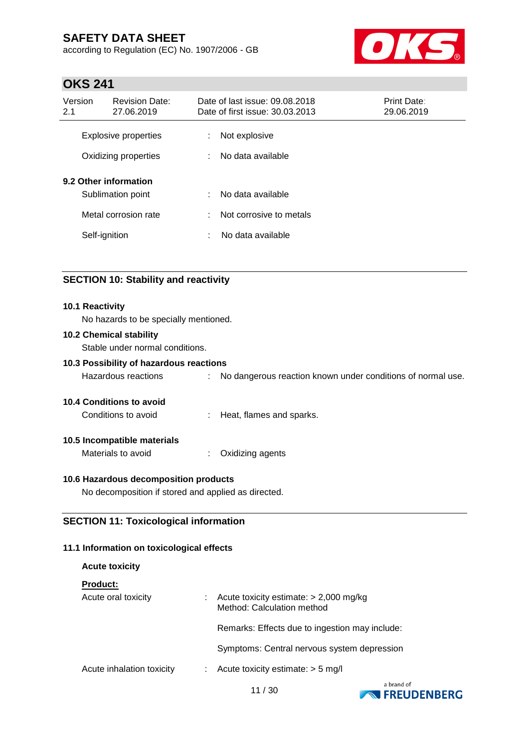according to Regulation (EC) No. 1907/2006 - GB



## **OKS 241**

| Version<br>2.1                                      | <b>Revision Date:</b><br>27.06.2019 |        | Date of last issue: 09.08.2018<br>Date of first issue: 30.03.2013 | Print Date:<br>29.06.2019 |
|-----------------------------------------------------|-------------------------------------|--------|-------------------------------------------------------------------|---------------------------|
| <b>Explosive properties</b><br>Oxidizing properties |                                     | ÷<br>÷ | Not explosive<br>No data available                                |                           |
| 9.2 Other information<br>Sublimation point          |                                     | ÷      | No data available                                                 |                           |
| Metal corrosion rate                                |                                     | ÷      | Not corrosive to metals                                           |                           |
|                                                     | Self-ignition                       | ÷      | No data available                                                 |                           |

### **SECTION 10: Stability and reactivity**

#### **10.1 Reactivity**

No hazards to be specially mentioned.

#### **10.2 Chemical stability**

Stable under normal conditions.

### **10.3 Possibility of hazardous reactions**

Hazardous reactions : No dangerous reaction known under conditions of normal use.

#### **10.4 Conditions to avoid**

Conditions to avoid : Heat, flames and sparks.

#### **10.5 Incompatible materials**

Materials to avoid : Oxidizing agents

#### **10.6 Hazardous decomposition products**

No decomposition if stored and applied as directed.

## **SECTION 11: Toxicological information**

### **11.1 Information on toxicological effects**

| <b>Acute toxicity</b>     |                                                                        |
|---------------------------|------------------------------------------------------------------------|
| <b>Product:</b>           |                                                                        |
| Acute oral toxicity       | Acute toxicity estimate: $> 2,000$ mg/kg<br>Method: Calculation method |
|                           | Remarks: Effects due to ingestion may include:                         |
|                           | Symptoms: Central nervous system depression                            |
| Acute inhalation toxicity | Acute toxicity estimate: $> 5$ mg/l                                    |
|                           |                                                                        |



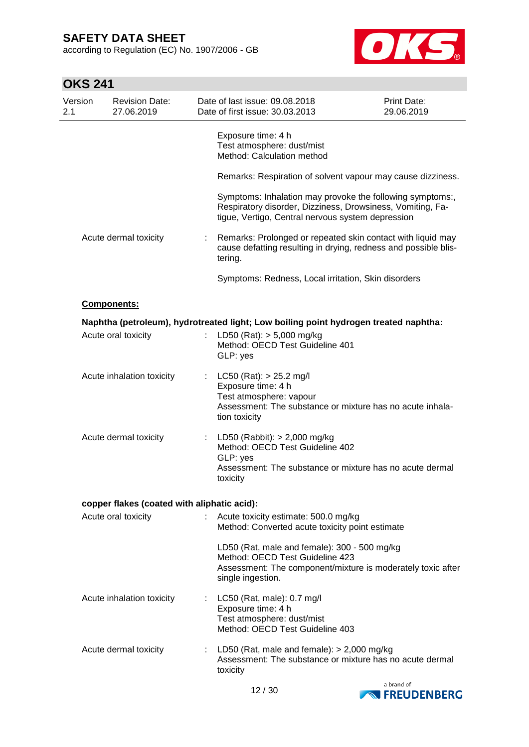according to Regulation (EC) No. 1907/2006 - GB



| Version<br>2.1 | <b>Revision Date:</b><br>27.06.2019         |    | Date of last issue: 09.08.2018<br>Date of first issue: 30.03.2013                                                                                                            | Print Date:<br>29.06.2019 |
|----------------|---------------------------------------------|----|------------------------------------------------------------------------------------------------------------------------------------------------------------------------------|---------------------------|
|                |                                             |    | Exposure time: 4 h<br>Test atmosphere: dust/mist<br>Method: Calculation method                                                                                               |                           |
|                |                                             |    | Remarks: Respiration of solvent vapour may cause dizziness.                                                                                                                  |                           |
|                |                                             |    | Symptoms: Inhalation may provoke the following symptoms:,<br>Respiratory disorder, Dizziness, Drowsiness, Vomiting, Fa-<br>tigue, Vertigo, Central nervous system depression |                           |
|                | Acute dermal toxicity                       |    | Remarks: Prolonged or repeated skin contact with liquid may<br>cause defatting resulting in drying, redness and possible blis-<br>tering.                                    |                           |
|                |                                             |    | Symptoms: Redness, Local irritation, Skin disorders                                                                                                                          |                           |
|                | Components:                                 |    |                                                                                                                                                                              |                           |
|                |                                             |    | Naphtha (petroleum), hydrotreated light; Low boiling point hydrogen treated naphtha:                                                                                         |                           |
|                | Acute oral toxicity                         |    | LD50 (Rat): $> 5,000$ mg/kg<br>Method: OECD Test Guideline 401<br>GLP: yes                                                                                                   |                           |
|                | Acute inhalation toxicity                   |    | : LC50 (Rat): $> 25.2$ mg/l<br>Exposure time: 4 h<br>Test atmosphere: vapour<br>Assessment: The substance or mixture has no acute inhala-<br>tion toxicity                   |                           |
|                | Acute dermal toxicity                       |    | : LD50 (Rabbit): $> 2,000$ mg/kg<br>Method: OECD Test Guideline 402<br>GLP: yes<br>Assessment: The substance or mixture has no acute dermal<br>toxicity                      |                           |
|                | copper flakes (coated with aliphatic acid): |    |                                                                                                                                                                              |                           |
|                | Acute oral toxicity                         |    | Acute toxicity estimate: 500.0 mg/kg<br>Method: Converted acute toxicity point estimate                                                                                      |                           |
|                |                                             |    | LD50 (Rat, male and female): 300 - 500 mg/kg<br>Method: OECD Test Guideline 423<br>Assessment: The component/mixture is moderately toxic after<br>single ingestion.          |                           |
|                | Acute inhalation toxicity                   | ÷. | LC50 (Rat, male): 0.7 mg/l<br>Exposure time: 4 h<br>Test atmosphere: dust/mist<br>Method: OECD Test Guideline 403                                                            |                           |
|                | Acute dermal toxicity                       |    | LD50 (Rat, male and female): $> 2,000$ mg/kg<br>Assessment: The substance or mixture has no acute dermal<br>toxicity                                                         |                           |

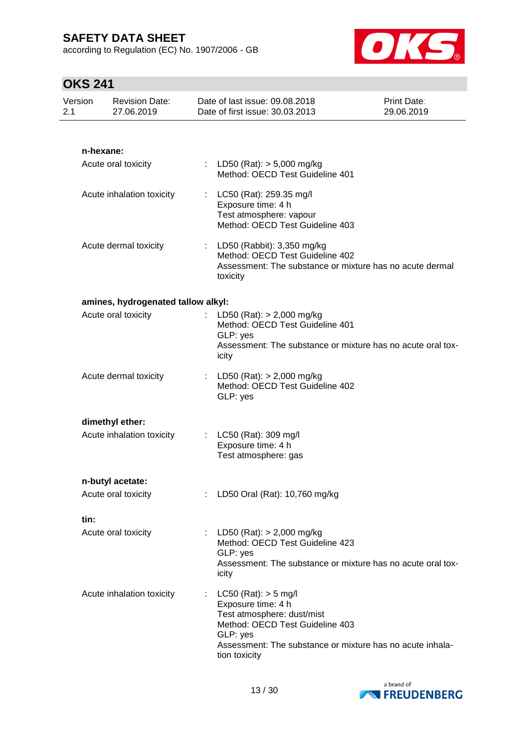according to Regulation (EC) No. 1907/2006 - GB



| Version<br>2.1 | <b>Revision Date:</b><br>27.06.2019 |                                | Date of last issue: 09.08.2018<br>Date of first issue: 30.03.2013                                                                                                            | Print Date:<br>29.06.2019 |
|----------------|-------------------------------------|--------------------------------|------------------------------------------------------------------------------------------------------------------------------------------------------------------------------|---------------------------|
|                |                                     |                                |                                                                                                                                                                              |                           |
|                | n-hexane:                           |                                |                                                                                                                                                                              |                           |
|                | Acute oral toxicity                 |                                | : LD50 (Rat): $>$ 5,000 mg/kg<br>Method: OECD Test Guideline 401                                                                                                             |                           |
|                | Acute inhalation toxicity           |                                | : LC50 (Rat): 259.35 mg/l<br>Exposure time: 4 h<br>Test atmosphere: vapour<br>Method: OECD Test Guideline 403                                                                |                           |
|                | Acute dermal toxicity               |                                | : LD50 (Rabbit): $3,350$ mg/kg<br>Method: OECD Test Guideline 402<br>Assessment: The substance or mixture has no acute dermal<br>toxicity                                    |                           |
|                | amines, hydrogenated tallow alkyl:  |                                |                                                                                                                                                                              |                           |
|                | Acute oral toxicity                 | GLP: yes<br>icity              | : LD50 (Rat): $> 2,000$ mg/kg<br>Method: OECD Test Guideline 401<br>Assessment: The substance or mixture has no acute oral tox-                                              |                           |
|                | Acute dermal toxicity               | GLP: yes                       | : LD50 (Rat): $> 2,000$ mg/kg<br>Method: OECD Test Guideline 402                                                                                                             |                           |
|                | dimethyl ether:                     |                                |                                                                                                                                                                              |                           |
|                | Acute inhalation toxicity           |                                | : LC50 (Rat): 309 mg/l<br>Exposure time: 4 h<br>Test atmosphere: gas                                                                                                         |                           |
|                | n-butyl acetate:                    |                                |                                                                                                                                                                              |                           |
|                | Acute oral toxicity                 |                                | LD50 Oral (Rat): 10,760 mg/kg                                                                                                                                                |                           |
| tin:           |                                     |                                |                                                                                                                                                                              |                           |
|                | Acute oral toxicity                 | GLP: yes<br>icity              | LD50 (Rat): > 2,000 mg/kg<br>Method: OECD Test Guideline 423<br>Assessment: The substance or mixture has no acute oral tox-                                                  |                           |
|                | Acute inhalation toxicity           | ÷<br>GLP: yes<br>tion toxicity | $LC50$ (Rat): $> 5$ mg/l<br>Exposure time: 4 h<br>Test atmosphere: dust/mist<br>Method: OECD Test Guideline 403<br>Assessment: The substance or mixture has no acute inhala- |                           |

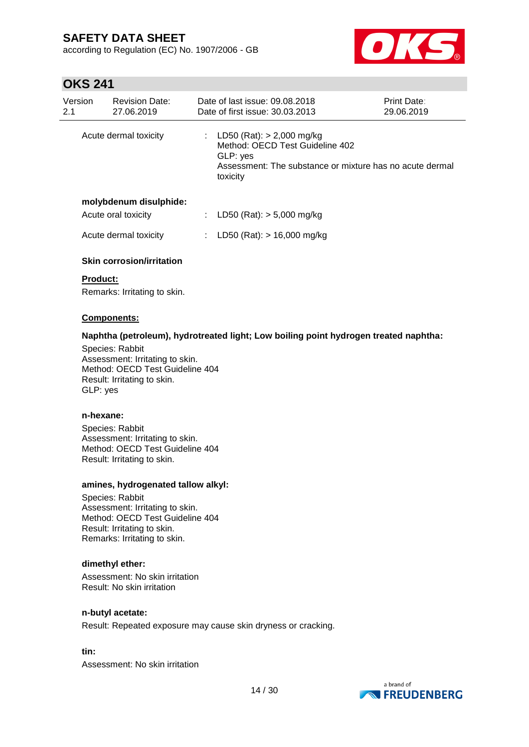according to Regulation (EC) No. 1907/2006 - GB



# **OKS 241**

| Version<br>2.1        | <b>Revision Date:</b><br>27.06.2019 | Date of last issue: 09.08.2018<br>Date of first issue: 30.03.2013                                                                                    | Print Date:<br>29.06.2019 |  |  |
|-----------------------|-------------------------------------|------------------------------------------------------------------------------------------------------------------------------------------------------|---------------------------|--|--|
| Acute dermal toxicity |                                     | : LD50 (Rat): $>$ 2,000 mg/kg<br>Method: OECD Test Guideline 402<br>GLP: yes<br>Assessment: The substance or mixture has no acute dermal<br>toxicity |                           |  |  |
|                       | molybdenum disulphide:              |                                                                                                                                                      |                           |  |  |
| Acute oral toxicity   |                                     | LD50 (Rat): $> 5,000$ mg/kg                                                                                                                          |                           |  |  |
|                       | Acute dermal toxicity               | LD50 (Rat): $> 16,000$ mg/kg                                                                                                                         |                           |  |  |
|                       | <b>Skin corrosion/irritation</b>    |                                                                                                                                                      |                           |  |  |

## **Product:**

Remarks: Irritating to skin.

#### **Components:**

#### **Naphtha (petroleum), hydrotreated light; Low boiling point hydrogen treated naphtha:**

Species: Rabbit Assessment: Irritating to skin. Method: OECD Test Guideline 404 Result: Irritating to skin. GLP: yes

#### **n-hexane:**

Species: Rabbit Assessment: Irritating to skin. Method: OECD Test Guideline 404 Result: Irritating to skin.

#### **amines, hydrogenated tallow alkyl:**

Species: Rabbit Assessment: Irritating to skin. Method: OECD Test Guideline 404 Result: Irritating to skin. Remarks: Irritating to skin.

#### **dimethyl ether:**

Assessment: No skin irritation Result: No skin irritation

#### **n-butyl acetate:**

Result: Repeated exposure may cause skin dryness or cracking.

**tin:**

Assessment: No skin irritation

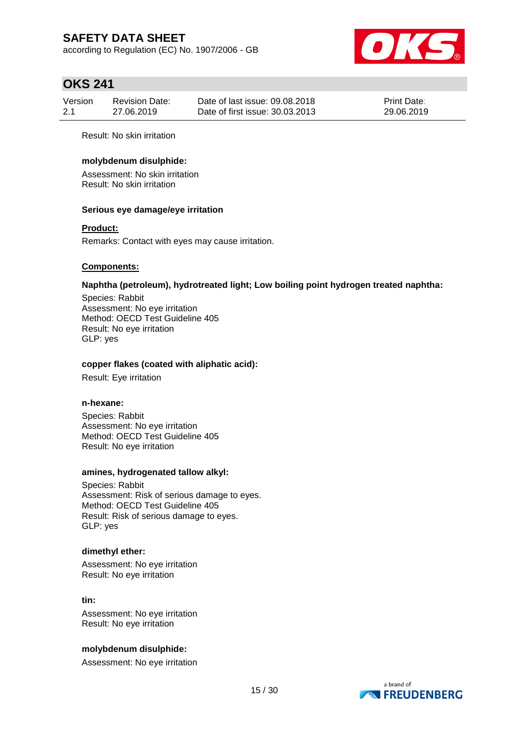according to Regulation (EC) No. 1907/2006 - GB



## **OKS 241**

| Version | Revision Date: | Date of last issue: 09.08.2018  | <b>Print Date:</b> |
|---------|----------------|---------------------------------|--------------------|
| 2.1     | 27.06.2019     | Date of first issue: 30.03.2013 | 29.06.2019         |

Result: No skin irritation

### **molybdenum disulphide:**

Assessment: No skin irritation Result: No skin irritation

#### **Serious eye damage/eye irritation**

#### **Product:**

Remarks: Contact with eyes may cause irritation.

#### **Components:**

#### **Naphtha (petroleum), hydrotreated light; Low boiling point hydrogen treated naphtha:**

Species: Rabbit Assessment: No eye irritation Method: OECD Test Guideline 405 Result: No eye irritation GLP: yes

#### **copper flakes (coated with aliphatic acid):**

Result: Eye irritation

#### **n-hexane:**

Species: Rabbit Assessment: No eye irritation Method: OECD Test Guideline 405 Result: No eye irritation

#### **amines, hydrogenated tallow alkyl:**

Species: Rabbit Assessment: Risk of serious damage to eyes. Method: OECD Test Guideline 405 Result: Risk of serious damage to eyes. GLP: yes

#### **dimethyl ether:**

Assessment: No eye irritation Result: No eye irritation

#### **tin:**

Assessment: No eye irritation Result: No eye irritation

#### **molybdenum disulphide:**

Assessment: No eye irritation

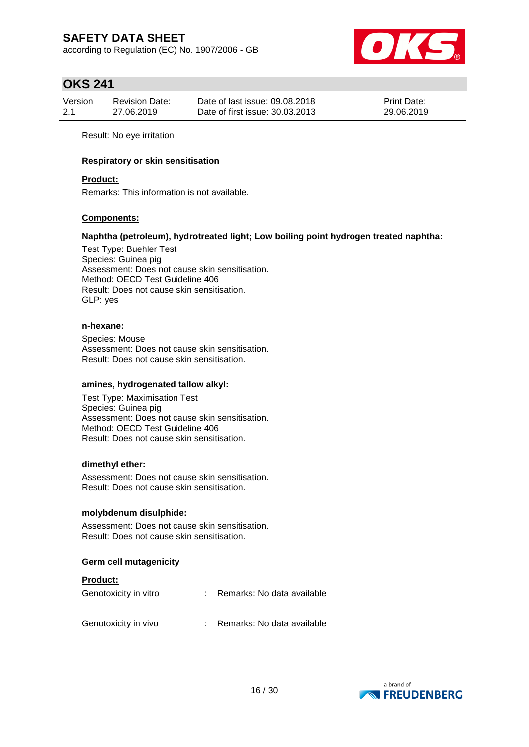according to Regulation (EC) No. 1907/2006 - GB



## **OKS 241**

| Version | Revision Date: | Date of last issue: 09.08.2018  | <b>Print Date:</b> |
|---------|----------------|---------------------------------|--------------------|
| 2.1     | 27.06.2019     | Date of first issue: 30.03.2013 | 29.06.2019         |

Result: No eye irritation

#### **Respiratory or skin sensitisation**

#### **Product:**

Remarks: This information is not available.

#### **Components:**

#### **Naphtha (petroleum), hydrotreated light; Low boiling point hydrogen treated naphtha:**

Test Type: Buehler Test Species: Guinea pig Assessment: Does not cause skin sensitisation. Method: OECD Test Guideline 406 Result: Does not cause skin sensitisation. GLP: yes

#### **n-hexane:**

Species: Mouse Assessment: Does not cause skin sensitisation. Result: Does not cause skin sensitisation.

#### **amines, hydrogenated tallow alkyl:**

Test Type: Maximisation Test Species: Guinea pig Assessment: Does not cause skin sensitisation. Method: OECD Test Guideline 406 Result: Does not cause skin sensitisation.

#### **dimethyl ether:**

Assessment: Does not cause skin sensitisation. Result: Does not cause skin sensitisation.

#### **molybdenum disulphide:**

Assessment: Does not cause skin sensitisation. Result: Does not cause skin sensitisation.

#### **Germ cell mutagenicity**

#### **Product:**

| Genotoxicity in vitro | Remarks: No data available |
|-----------------------|----------------------------|
| Genotoxicity in vivo  | Remarks: No data available |

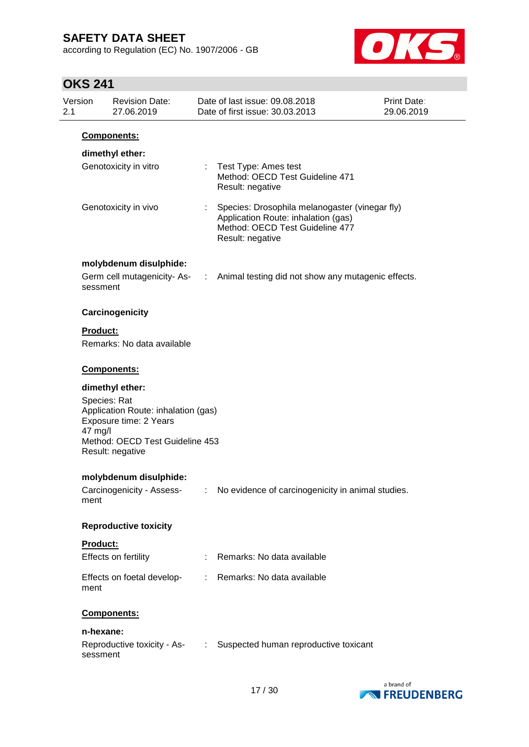according to Regulation (EC) No. 1907/2006 - GB



| Version<br>2.1 | <b>Revision Date:</b><br>27.06.2019                                                                                                                                |                            | Date of last issue: 09.08.2018<br>Date of first issue: 30.03.2013                                                                            | Print Date:<br>29.06.2019 |
|----------------|--------------------------------------------------------------------------------------------------------------------------------------------------------------------|----------------------------|----------------------------------------------------------------------------------------------------------------------------------------------|---------------------------|
|                | Components:                                                                                                                                                        |                            |                                                                                                                                              |                           |
|                | dimethyl ether:                                                                                                                                                    |                            |                                                                                                                                              |                           |
|                | Genotoxicity in vitro                                                                                                                                              |                            | : Test Type: Ames test<br>Method: OECD Test Guideline 471<br>Result: negative                                                                |                           |
|                | Genotoxicity in vivo                                                                                                                                               |                            | Species: Drosophila melanogaster (vinegar fly)<br>Application Route: inhalation (gas)<br>Method: OECD Test Guideline 477<br>Result: negative |                           |
|                | molybdenum disulphide:                                                                                                                                             |                            |                                                                                                                                              |                           |
|                | sessment                                                                                                                                                           |                            | Germ cell mutagenicity-As- : Animal testing did not show any mutagenic effects.                                                              |                           |
|                | Carcinogenicity                                                                                                                                                    |                            |                                                                                                                                              |                           |
|                | <b>Product:</b>                                                                                                                                                    |                            |                                                                                                                                              |                           |
|                | Remarks: No data available                                                                                                                                         |                            |                                                                                                                                              |                           |
|                | Components:                                                                                                                                                        |                            |                                                                                                                                              |                           |
|                | dimethyl ether:<br>Species: Rat<br>Application Route: inhalation (gas)<br>Exposure time: 2 Years<br>47 mg/l<br>Method: OECD Test Guideline 453<br>Result: negative |                            |                                                                                                                                              |                           |
|                | molybdenum disulphide:                                                                                                                                             |                            |                                                                                                                                              |                           |
|                | Carcinogenicity - Assess-<br>ment                                                                                                                                  |                            | : No evidence of carcinogenicity in animal studies.                                                                                          |                           |
|                | <b>Reproductive toxicity</b>                                                                                                                                       |                            |                                                                                                                                              |                           |
|                | Product:                                                                                                                                                           |                            |                                                                                                                                              |                           |
|                | Effects on fertility                                                                                                                                               |                            | Remarks: No data available                                                                                                                   |                           |
|                | Effects on foetal develop-<br>ment                                                                                                                                 |                            | : Remarks: No data available                                                                                                                 |                           |
|                | Components:                                                                                                                                                        |                            |                                                                                                                                              |                           |
|                | n-hexane:                                                                                                                                                          |                            |                                                                                                                                              |                           |
|                | Reproductive toxicity - As-<br>sessment                                                                                                                            | $\mathcal{L}^{\text{max}}$ | Suspected human reproductive toxicant                                                                                                        |                           |

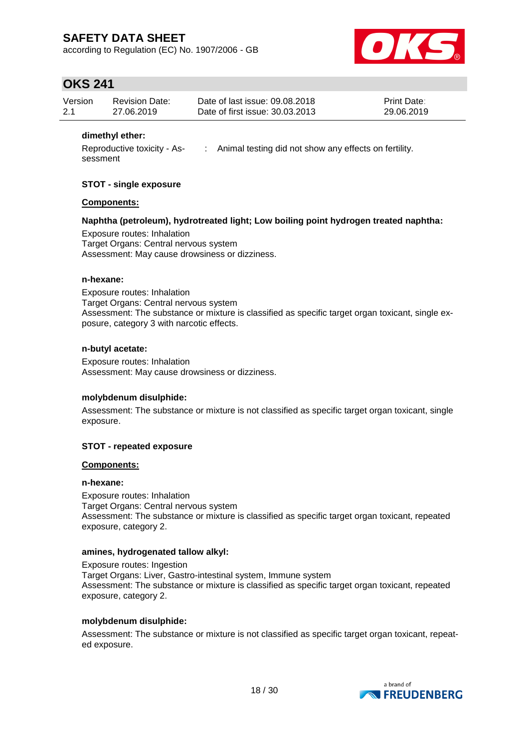according to Regulation (EC) No. 1907/2006 - GB



## **OKS 241**

| Version | Revision Date: | Date of last issue: 09.08.2018  | <b>Print Date:</b> |
|---------|----------------|---------------------------------|--------------------|
| 2.1     | 27.06.2019     | Date of first issue: 30.03.2013 | 29.06.2019         |

### **dimethyl ether:**

Reproductive toxicity - Assessment : Animal testing did not show any effects on fertility.

#### **STOT - single exposure**

#### **Components:**

#### **Naphtha (petroleum), hydrotreated light; Low boiling point hydrogen treated naphtha:**

Exposure routes: Inhalation Target Organs: Central nervous system Assessment: May cause drowsiness or dizziness.

#### **n-hexane:**

Exposure routes: Inhalation Target Organs: Central nervous system Assessment: The substance or mixture is classified as specific target organ toxicant, single exposure, category 3 with narcotic effects.

#### **n-butyl acetate:**

Exposure routes: Inhalation Assessment: May cause drowsiness or dizziness.

#### **molybdenum disulphide:**

Assessment: The substance or mixture is not classified as specific target organ toxicant, single exposure.

#### **STOT - repeated exposure**

#### **Components:**

#### **n-hexane:**

Exposure routes: Inhalation Target Organs: Central nervous system Assessment: The substance or mixture is classified as specific target organ toxicant, repeated exposure, category 2.

#### **amines, hydrogenated tallow alkyl:**

Exposure routes: Ingestion Target Organs: Liver, Gastro-intestinal system, Immune system Assessment: The substance or mixture is classified as specific target organ toxicant, repeated exposure, category 2.

#### **molybdenum disulphide:**

Assessment: The substance or mixture is not classified as specific target organ toxicant, repeated exposure.

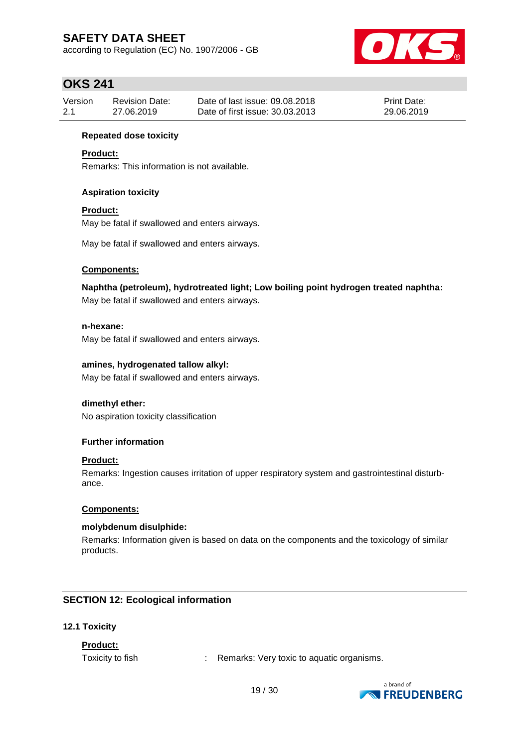according to Regulation (EC) No. 1907/2006 - GB



## **OKS 241**

| Version | Revision Date: | Date of last issue: 09.08.2018  | <b>Print Date:</b> |
|---------|----------------|---------------------------------|--------------------|
| 2.1     | 27.06.2019     | Date of first issue: 30.03.2013 | 29.06.2019         |

### **Repeated dose toxicity**

### **Product:**

Remarks: This information is not available.

### **Aspiration toxicity**

### **Product:**

May be fatal if swallowed and enters airways.

May be fatal if swallowed and enters airways.

#### **Components:**

**Naphtha (petroleum), hydrotreated light; Low boiling point hydrogen treated naphtha:**

May be fatal if swallowed and enters airways.

### **n-hexane:**

May be fatal if swallowed and enters airways.

### **amines, hydrogenated tallow alkyl:**

May be fatal if swallowed and enters airways.

#### **dimethyl ether:**

No aspiration toxicity classification

#### **Further information**

#### **Product:**

Remarks: Ingestion causes irritation of upper respiratory system and gastrointestinal disturbance.

#### **Components:**

#### **molybdenum disulphide:**

Remarks: Information given is based on data on the components and the toxicology of similar products.

## **SECTION 12: Ecological information**

#### **12.1 Toxicity**

## **Product:**

Toxicity to fish : Remarks: Very toxic to aquatic organisms.

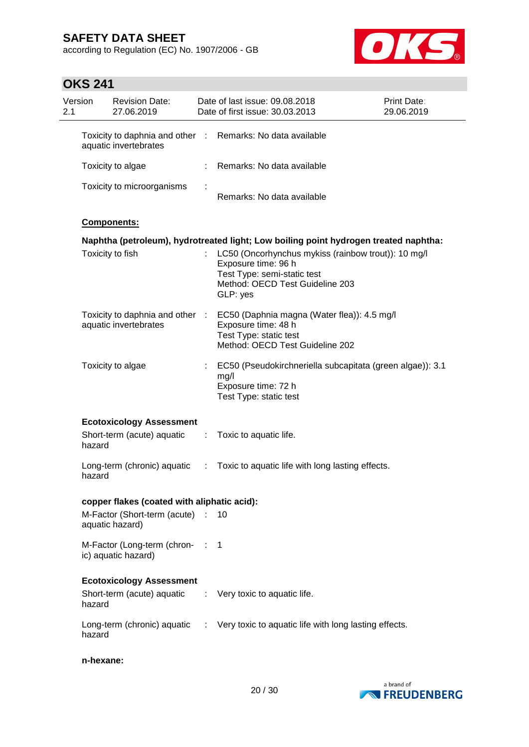according to Regulation (EC) No. 1907/2006 - GB



| Version<br>2.1 |           | <b>Revision Date:</b><br>27.06.2019                    |           | Date of last issue: 09.08.2018<br>Date of first issue: 30.03.2013                                                                                        | <b>Print Date:</b><br>29.06.2019 |
|----------------|-----------|--------------------------------------------------------|-----------|----------------------------------------------------------------------------------------------------------------------------------------------------------|----------------------------------|
|                |           | Toxicity to daphnia and other<br>aquatic invertebrates | $\sim$ 10 | Remarks: No data available                                                                                                                               |                                  |
|                |           | Toxicity to algae                                      |           | Remarks: No data available                                                                                                                               |                                  |
|                |           | Toxicity to microorganisms                             |           | Remarks: No data available                                                                                                                               |                                  |
|                |           | Components:                                            |           |                                                                                                                                                          |                                  |
|                |           |                                                        |           | Naphtha (petroleum), hydrotreated light; Low boiling point hydrogen treated naphtha:                                                                     |                                  |
|                |           | Toxicity to fish                                       |           | LC50 (Oncorhynchus mykiss (rainbow trout)): 10 mg/l<br>Exposure time: 96 h<br>Test Type: semi-static test<br>Method: OECD Test Guideline 203<br>GLP: yes |                                  |
|                |           | Toxicity to daphnia and other<br>aquatic invertebrates |           | EC50 (Daphnia magna (Water flea)): 4.5 mg/l<br>Exposure time: 48 h<br>Test Type: static test<br>Method: OECD Test Guideline 202                          |                                  |
|                |           | Toxicity to algae                                      |           | EC50 (Pseudokirchneriella subcapitata (green algae)): 3.1<br>mg/l<br>Exposure time: 72 h<br>Test Type: static test                                       |                                  |
|                |           | <b>Ecotoxicology Assessment</b>                        |           |                                                                                                                                                          |                                  |
|                | hazard    | Short-term (acute) aquatic                             | ÷.        | Toxic to aquatic life.                                                                                                                                   |                                  |
|                | hazard    | Long-term (chronic) aquatic                            | ÷         | Toxic to aquatic life with long lasting effects.                                                                                                         |                                  |
|                |           | copper flakes (coated with aliphatic acid):            |           |                                                                                                                                                          |                                  |
|                |           | M-Factor (Short-term (acute) :<br>aquatic hazard)      |           | 10                                                                                                                                                       |                                  |
|                |           | M-Factor (Long-term (chron- :<br>ic) aquatic hazard)   |           | $\overline{\phantom{1}}$                                                                                                                                 |                                  |
|                |           | <b>Ecotoxicology Assessment</b>                        |           |                                                                                                                                                          |                                  |
|                | hazard    | Short-term (acute) aquatic                             | ÷.        | Very toxic to aquatic life.                                                                                                                              |                                  |
|                | hazard    |                                                        |           | Long-term (chronic) aquatic : Very toxic to aquatic life with long lasting effects.                                                                      |                                  |
|                | n-hexane: |                                                        |           |                                                                                                                                                          |                                  |

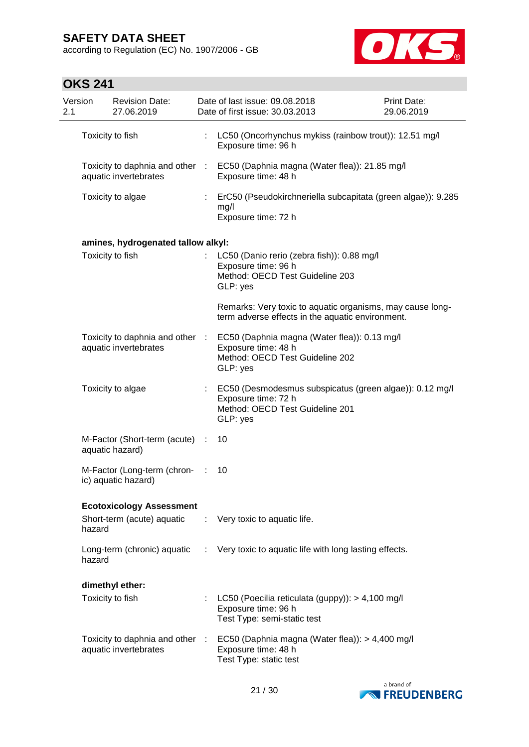according to Regulation (EC) No. 1907/2006 - GB



| Version<br>2.1 |        | <b>Revision Date:</b><br>27.06.2019                      |    | Date of last issue: 09.08.2018<br>Date of first issue: 30.03.2013                                                             | <b>Print Date:</b><br>29.06.2019 |
|----------------|--------|----------------------------------------------------------|----|-------------------------------------------------------------------------------------------------------------------------------|----------------------------------|
|                |        | Toxicity to fish                                         | ÷. | LC50 (Oncorhynchus mykiss (rainbow trout)): 12.51 mg/l<br>Exposure time: 96 h                                                 |                                  |
|                |        | Toxicity to daphnia and other :<br>aquatic invertebrates |    | EC50 (Daphnia magna (Water flea)): 21.85 mg/l<br>Exposure time: 48 h                                                          |                                  |
|                |        | Toxicity to algae                                        |    | ErC50 (Pseudokirchneriella subcapitata (green algae)): 9.285<br>mg/l<br>Exposure time: 72 h                                   |                                  |
|                |        | amines, hydrogenated tallow alkyl:                       |    |                                                                                                                               |                                  |
|                |        | Toxicity to fish                                         |    | LC50 (Danio rerio (zebra fish)): 0.88 mg/l<br>Exposure time: 96 h<br>Method: OECD Test Guideline 203<br>GLP: yes              |                                  |
|                |        |                                                          |    | Remarks: Very toxic to aquatic organisms, may cause long-<br>term adverse effects in the aquatic environment.                 |                                  |
|                |        | Toxicity to daphnia and other :<br>aquatic invertebrates |    | EC50 (Daphnia magna (Water flea)): 0.13 mg/l<br>Exposure time: 48 h<br>Method: OECD Test Guideline 202<br>GLP: yes            |                                  |
|                |        | Toxicity to algae                                        |    | EC50 (Desmodesmus subspicatus (green algae)): 0.12 mg/l<br>Exposure time: 72 h<br>Method: OECD Test Guideline 201<br>GLP: yes |                                  |
|                |        | M-Factor (Short-term (acute) :<br>aquatic hazard)        |    | 10                                                                                                                            |                                  |
|                |        | M-Factor (Long-term (chron-<br>ic) aquatic hazard)       |    | 10                                                                                                                            |                                  |
|                |        | <b>Ecotoxicology Assessment</b>                          |    |                                                                                                                               |                                  |
|                | hazard | Short-term (acute) aquatic                               | ÷. | Very toxic to aquatic life.                                                                                                   |                                  |
|                | hazard | Long-term (chronic) aquatic                              | ÷  | Very toxic to aquatic life with long lasting effects.                                                                         |                                  |
|                |        | dimethyl ether:                                          |    |                                                                                                                               |                                  |
|                |        | Toxicity to fish                                         | t  | LC50 (Poecilia reticulata (guppy)): > 4,100 mg/l<br>Exposure time: 96 h<br>Test Type: semi-static test                        |                                  |
|                |        | Toxicity to daphnia and other :<br>aquatic invertebrates |    | EC50 (Daphnia magna (Water flea)): > 4,400 mg/l<br>Exposure time: 48 h<br>Test Type: static test                              |                                  |

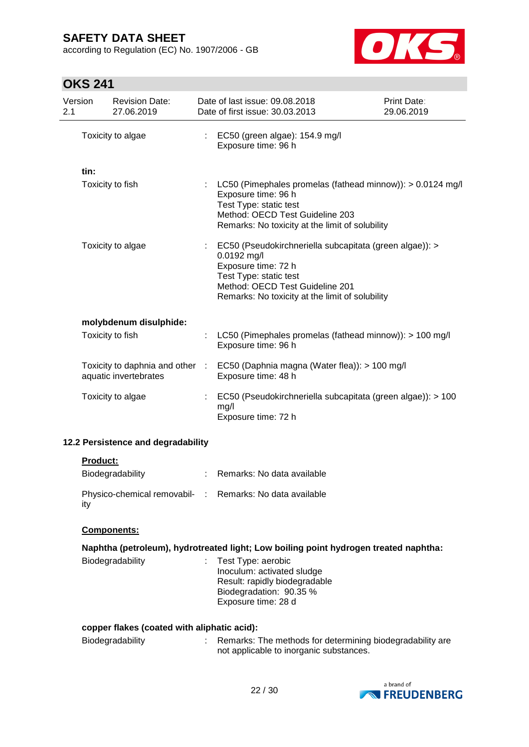according to Regulation (EC) No. 1907/2006 - GB



# **OKS 241**

| Version<br>2.1 | <b>Revision Date:</b><br>27.06.2019                      | Date of last issue: 09.08.2018<br>Date of first issue: 30.03.2013                                                                                                                                               | Print Date:<br>29.06.2019 |
|----------------|----------------------------------------------------------|-----------------------------------------------------------------------------------------------------------------------------------------------------------------------------------------------------------------|---------------------------|
|                | Toxicity to algae                                        | : EC50 (green algae): 154.9 mg/l<br>Exposure time: 96 h                                                                                                                                                         |                           |
| tin:           |                                                          |                                                                                                                                                                                                                 |                           |
|                | Toxicity to fish                                         | LC50 (Pimephales promelas (fathead minnow)): > 0.0124 mg/l<br>Exposure time: 96 h<br>Test Type: static test<br>Method: OECD Test Guideline 203<br>Remarks: No toxicity at the limit of solubility               |                           |
|                | Toxicity to algae                                        | : EC50 (Pseudokirchneriella subcapitata (green algae)): ><br>0.0192 mg/l<br>Exposure time: 72 h<br>Test Type: static test<br>Method: OECD Test Guideline 201<br>Remarks: No toxicity at the limit of solubility |                           |
|                | molybdenum disulphide:                                   |                                                                                                                                                                                                                 |                           |
|                | Toxicity to fish                                         | LC50 (Pimephales promelas (fathead minnow)): > 100 mg/l<br>Exposure time: 96 h                                                                                                                                  |                           |
|                | Toxicity to daphnia and other :<br>aquatic invertebrates | EC50 (Daphnia magna (Water flea)): > 100 mg/l<br>Exposure time: 48 h                                                                                                                                            |                           |
|                | Toxicity to algae                                        | EC50 (Pseudokirchneriella subcapitata (green algae)): > 100<br>mg/l<br>Exposure time: 72 h                                                                                                                      |                           |

## **12.2 Persistence and degradability**

|--|

| Biodegradability                                                | Remarks: No data available |
|-----------------------------------------------------------------|----------------------------|
| Physico-chemical removabil- : Remarks: No data available<br>ity |                            |

### **Components:**

## **Naphtha (petroleum), hydrotreated light; Low boiling point hydrogen treated naphtha:**

| Biodegradability | $:$ Test Type: aerobic        |
|------------------|-------------------------------|
|                  | Inoculum: activated sludge    |
|                  | Result: rapidly biodegradable |
|                  | Biodegradation: 90.35 %       |
|                  | Exposure time: 28 d           |

#### **copper flakes (coated with aliphatic acid):**

| <b>Biodegradability</b> | Remarks: The methods for determining biodegradability are |
|-------------------------|-----------------------------------------------------------|
|                         | not applicable to inorganic substances.                   |

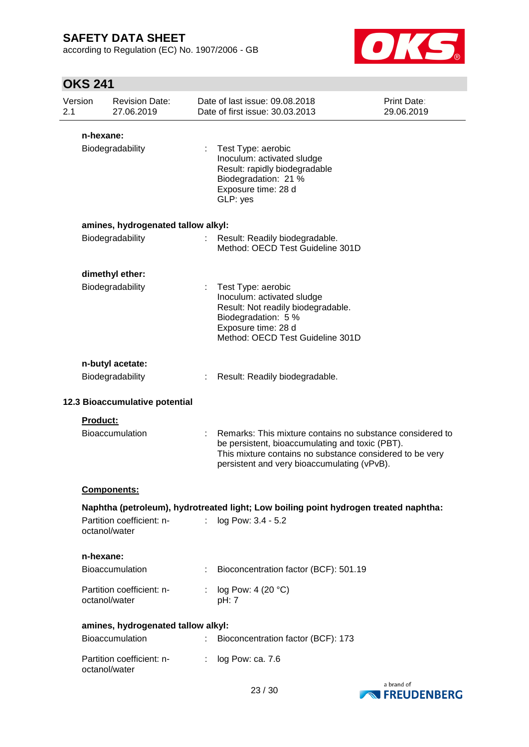according to Regulation (EC) No. 1907/2006 - GB



| Version<br>2.1                                                                       |                 | <b>Revision Date:</b><br>27.06.2019 |    | Date of last issue: 09.08.2018<br>Date of first issue: 30.03.2013                                                                                                                                                       | Print Date:<br>29.06.2019 |
|--------------------------------------------------------------------------------------|-----------------|-------------------------------------|----|-------------------------------------------------------------------------------------------------------------------------------------------------------------------------------------------------------------------------|---------------------------|
|                                                                                      | n-hexane:       |                                     |    |                                                                                                                                                                                                                         |                           |
|                                                                                      |                 | Biodegradability                    | ÷  | Test Type: aerobic<br>Inoculum: activated sludge<br>Result: rapidly biodegradable<br>Biodegradation: 21 %<br>Exposure time: 28 d<br>GLP: yes                                                                            |                           |
|                                                                                      |                 | amines, hydrogenated tallow alkyl:  |    |                                                                                                                                                                                                                         |                           |
|                                                                                      |                 | Biodegradability                    |    | Result: Readily biodegradable.<br>Method: OECD Test Guideline 301D                                                                                                                                                      |                           |
|                                                                                      |                 | dimethyl ether:                     |    |                                                                                                                                                                                                                         |                           |
|                                                                                      |                 | Biodegradability                    |    | Test Type: aerobic<br>Inoculum: activated sludge<br>Result: Not readily biodegradable.<br>Biodegradation: 5 %<br>Exposure time: 28 d<br>Method: OECD Test Guideline 301D                                                |                           |
|                                                                                      |                 | n-butyl acetate:                    |    |                                                                                                                                                                                                                         |                           |
|                                                                                      |                 | Biodegradability                    |    | Result: Readily biodegradable.                                                                                                                                                                                          |                           |
|                                                                                      |                 | 12.3 Bioaccumulative potential      |    |                                                                                                                                                                                                                         |                           |
|                                                                                      | <b>Product:</b> | <b>Bioaccumulation</b>              |    | Remarks: This mixture contains no substance considered to<br>be persistent, bioaccumulating and toxic (PBT).<br>This mixture contains no substance considered to be very<br>persistent and very bioaccumulating (vPvB). |                           |
|                                                                                      |                 | Components:                         |    |                                                                                                                                                                                                                         |                           |
| Naphtha (petroleum), hydrotreated light; Low boiling point hydrogen treated naphtha: |                 |                                     |    |                                                                                                                                                                                                                         |                           |
|                                                                                      | octanol/water   | Partition coefficient: n-           |    | : log Pow: 3.4 - 5.2                                                                                                                                                                                                    |                           |
|                                                                                      | n-hexane:       |                                     |    |                                                                                                                                                                                                                         |                           |
|                                                                                      |                 | <b>Bioaccumulation</b>              |    | Bioconcentration factor (BCF): 501.19                                                                                                                                                                                   |                           |
|                                                                                      | octanol/water   | Partition coefficient: n-           |    | : $log Pow: 4 (20 °C)$<br>pH: 7                                                                                                                                                                                         |                           |
|                                                                                      |                 | amines, hydrogenated tallow alkyl:  |    |                                                                                                                                                                                                                         |                           |
|                                                                                      |                 | Bioaccumulation                     | ÷. | Bioconcentration factor (BCF): 173                                                                                                                                                                                      |                           |
|                                                                                      | octanol/water   | Partition coefficient: n-           | ÷  | log Pow: ca. 7.6                                                                                                                                                                                                        |                           |

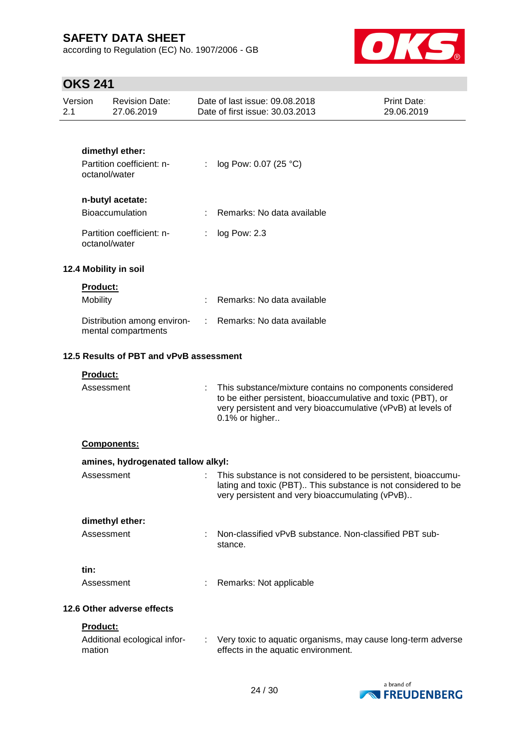according to Regulation (EC) No. 1907/2006 - GB



| Version<br>2.1 |                                         | <b>Revision Date:</b><br>27.06.2019                |    | Date of last issue: 09.08.2018<br>Date of first issue: 30.03.2013                                                                                                                                          | <b>Print Date:</b><br>29.06.2019 |  |
|----------------|-----------------------------------------|----------------------------------------------------|----|------------------------------------------------------------------------------------------------------------------------------------------------------------------------------------------------------------|----------------------------------|--|
|                |                                         |                                                    |    |                                                                                                                                                                                                            |                                  |  |
|                |                                         | dimethyl ether:                                    |    |                                                                                                                                                                                                            |                                  |  |
|                | octanol/water                           | Partition coefficient: n-                          | t. | log Pow: 0.07 (25 °C)                                                                                                                                                                                      |                                  |  |
|                |                                         | n-butyl acetate:                                   |    |                                                                                                                                                                                                            |                                  |  |
|                |                                         | Bioaccumulation                                    | t. | Remarks: No data available                                                                                                                                                                                 |                                  |  |
|                | octanol/water                           | Partition coefficient: n-                          | ÷. | log Pow: 2.3                                                                                                                                                                                               |                                  |  |
|                |                                         | 12.4 Mobility in soil                              |    |                                                                                                                                                                                                            |                                  |  |
|                | <b>Product:</b>                         |                                                    |    |                                                                                                                                                                                                            |                                  |  |
|                | Mobility                                |                                                    |    | Remarks: No data available                                                                                                                                                                                 |                                  |  |
|                |                                         | Distribution among environ-<br>mental compartments | ÷. | Remarks: No data available                                                                                                                                                                                 |                                  |  |
|                | 12.5 Results of PBT and vPvB assessment |                                                    |    |                                                                                                                                                                                                            |                                  |  |
|                | Product:                                |                                                    |    |                                                                                                                                                                                                            |                                  |  |
|                | Assessment                              |                                                    |    | This substance/mixture contains no components considered<br>to be either persistent, bioaccumulative and toxic (PBT), or<br>very persistent and very bioaccumulative (vPvB) at levels of<br>0.1% or higher |                                  |  |
|                |                                         | Components:                                        |    |                                                                                                                                                                                                            |                                  |  |
|                |                                         | amines, hydrogenated tallow alkyl:                 |    |                                                                                                                                                                                                            |                                  |  |
|                | Assessment                              |                                                    |    | This substance is not considered to be persistent, bioaccumu-<br>lating and toxic (PBT) This substance is not considered to be<br>very persistent and very bioaccumulating (vPvB)                          |                                  |  |
|                |                                         | dimethyl ether:                                    |    |                                                                                                                                                                                                            |                                  |  |
|                | Assessment                              |                                                    |    | Non-classified vPvB substance. Non-classified PBT sub-<br>stance.                                                                                                                                          |                                  |  |
|                | tin:                                    |                                                    |    |                                                                                                                                                                                                            |                                  |  |
|                | Assessment                              |                                                    |    | Remarks: Not applicable                                                                                                                                                                                    |                                  |  |
|                |                                         | 12.6 Other adverse effects                         |    |                                                                                                                                                                                                            |                                  |  |
|                | Product:                                |                                                    |    |                                                                                                                                                                                                            |                                  |  |
|                | mation                                  | Additional ecological infor-                       |    | : Very toxic to aquatic organisms, may cause long-term adverse<br>effects in the aquatic environment.                                                                                                      |                                  |  |

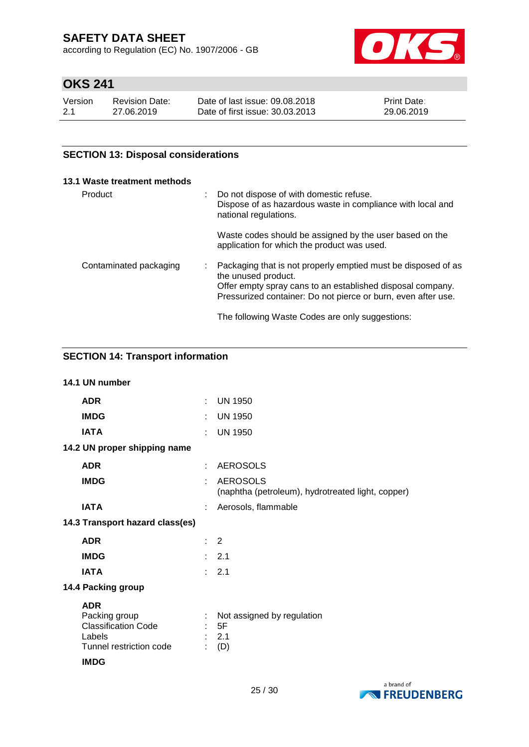according to Regulation (EC) No. 1907/2006 - GB



# **OKS 241**

| Version | <b>Revision Date:</b> | Date of last issue: 09.08.2018  | Print Date: |
|---------|-----------------------|---------------------------------|-------------|
| 2.1     | 27.06.2019            | Date of first issue: 30.03.2013 | 29.06.2019  |

## **SECTION 13: Disposal considerations**

|         | 13.1 Waste treatment methods |                                                                                                                                                                                                                     |
|---------|------------------------------|---------------------------------------------------------------------------------------------------------------------------------------------------------------------------------------------------------------------|
| Product |                              | Do not dispose of with domestic refuse.<br>Dispose of as hazardous waste in compliance with local and<br>national regulations.                                                                                      |
|         |                              | Waste codes should be assigned by the user based on the<br>application for which the product was used.                                                                                                              |
|         | Contaminated packaging       | Packaging that is not properly emptied must be disposed of as<br>the unused product.<br>Offer empty spray cans to an established disposal company.<br>Pressurized container: Do not pierce or burn, even after use. |
|         |                              | The following Waste Codes are only suggestions:                                                                                                                                                                     |

## **SECTION 14: Transport information**

| 14.1 UN number                                                                                                |    |                                                                      |
|---------------------------------------------------------------------------------------------------------------|----|----------------------------------------------------------------------|
| <b>ADR</b>                                                                                                    | ÷. | <b>UN 1950</b>                                                       |
| <b>IMDG</b>                                                                                                   |    | <b>UN 1950</b>                                                       |
| <b>IATA</b>                                                                                                   |    | <b>UN 1950</b>                                                       |
| 14.2 UN proper shipping name                                                                                  |    |                                                                      |
| <b>ADR</b>                                                                                                    |    | <b>AEROSOLS</b>                                                      |
| <b>IMDG</b>                                                                                                   |    | <b>AEROSOLS</b><br>(naphtha (petroleum), hydrotreated light, copper) |
| <b>IATA</b>                                                                                                   |    | Aerosols, flammable                                                  |
| 14.3 Transport hazard class(es)                                                                               |    |                                                                      |
| <b>ADR</b>                                                                                                    |    | $\therefore$ 2                                                       |
| <b>IMDG</b>                                                                                                   |    | : 2.1                                                                |
| <b>IATA</b>                                                                                                   |    | : 2.1                                                                |
| 14.4 Packing group                                                                                            |    |                                                                      |
| <b>ADR</b><br>Packing group<br><b>Classification Code</b><br>Labels<br>Tunnel restriction code<br><b>IMDG</b> |    | Not assigned by regulation<br>: 5F<br>2.1<br>(D)                     |

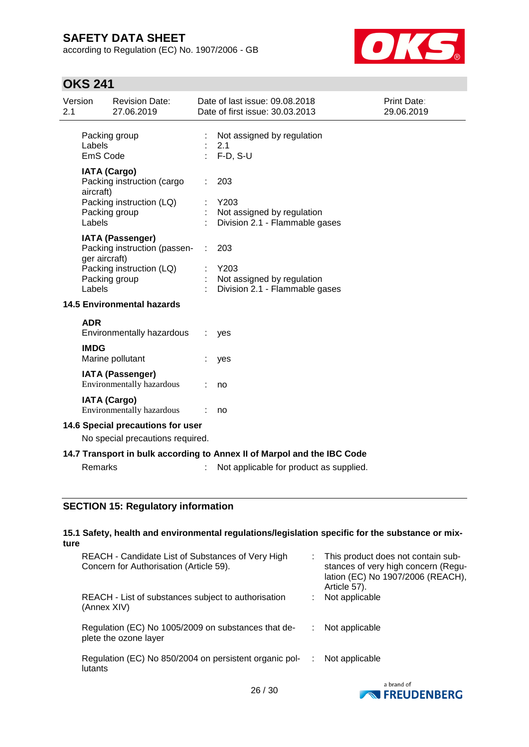according to Regulation (EC) No. 1907/2006 - GB



# **OKS 241**

| Version<br>2.1 |                    | <b>Revision Date:</b><br>27.06.2019                                           |   | Date of last issue: 09.08.2018<br>Date of first issue: 30.03.2013       | Print Date:<br>29.06.2019 |
|----------------|--------------------|-------------------------------------------------------------------------------|---|-------------------------------------------------------------------------|---------------------------|
|                | Labels<br>EmS Code | Packing group                                                                 |   | Not assigned by regulation<br>2.1<br>$F-D, S-U$                         |                           |
|                | aircraft)          | <b>IATA (Cargo)</b><br>Packing instruction (cargo<br>Packing instruction (LQ) |   | 203<br>Y203                                                             |                           |
|                | Labels             | Packing group                                                                 |   | Not assigned by regulation<br>Division 2.1 - Flammable gases            |                           |
|                | ger aircraft)      | <b>IATA (Passenger)</b><br>Packing instruction (passen-                       | ÷ | 203                                                                     |                           |
|                | Labels             | Packing instruction (LQ)<br>Packing group                                     |   | Y203<br>Not assigned by regulation<br>Division 2.1 - Flammable gases    |                           |
|                |                    | <b>14.5 Environmental hazards</b>                                             |   |                                                                         |                           |
|                | <b>ADR</b>         | Environmentally hazardous                                                     |   | yes                                                                     |                           |
|                | <b>IMDG</b>        | Marine pollutant                                                              |   | yes                                                                     |                           |
|                |                    | <b>IATA (Passenger)</b><br>Environmentally hazardous                          |   | no                                                                      |                           |
|                |                    | <b>IATA (Cargo)</b><br>Environmentally hazardous                              |   | no                                                                      |                           |
|                |                    | 14.6 Special precautions for user                                             |   |                                                                         |                           |
|                |                    | No special precautions required.                                              |   |                                                                         |                           |
|                |                    |                                                                               |   | 14.7 Transport in bulk according to Annex II of Marpol and the IBC Code |                           |
|                | <b>Remarks</b>     |                                                                               |   | Not applicable for product as supplied.                                 |                           |
|                |                    |                                                                               |   |                                                                         |                           |

## **SECTION 15: Regulatory information**

| ture    | 15.1 Safety, health and environmental regulations/legislation specific for the substance or mix- |   |                                                                                                                                |
|---------|--------------------------------------------------------------------------------------------------|---|--------------------------------------------------------------------------------------------------------------------------------|
|         | REACH - Candidate List of Substances of Very High<br>Concern for Authorisation (Article 59).     |   | This product does not contain sub-<br>stances of very high concern (Regu-<br>lation (EC) No 1907/2006 (REACH),<br>Article 57). |
|         | REACH - List of substances subject to authorisation<br>(Annex XIV)                               |   | Not applicable                                                                                                                 |
|         | Regulation (EC) No 1005/2009 on substances that de-<br>plete the ozone layer                     |   | Not applicable                                                                                                                 |
| lutants | Regulation (EC) No 850/2004 on persistent organic pol-                                           | ÷ | Not applicable                                                                                                                 |
|         |                                                                                                  |   | a brand of                                                                                                                     |

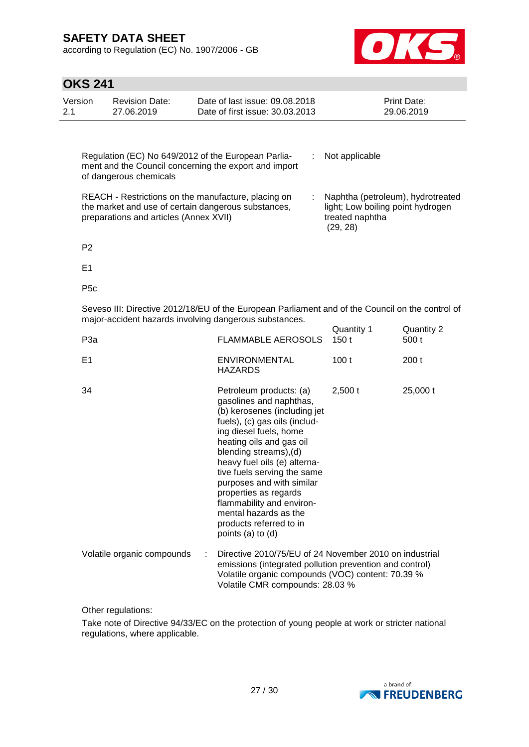according to Regulation (EC) No. 1907/2006 - GB



## **OKS 241**

| <b>OKS 241</b>                                                                                                                                                                                                                                                |                                     |                                                                                                                                                            |                    |                           |
|---------------------------------------------------------------------------------------------------------------------------------------------------------------------------------------------------------------------------------------------------------------|-------------------------------------|------------------------------------------------------------------------------------------------------------------------------------------------------------|--------------------|---------------------------|
| Version<br>2.1                                                                                                                                                                                                                                                | <b>Revision Date:</b><br>27.06.2019 | Date of last issue: 09.08.2018<br>Date of first issue: 30.03.2013                                                                                          |                    | Print Date:<br>29.06.2019 |
|                                                                                                                                                                                                                                                               |                                     |                                                                                                                                                            |                    |                           |
|                                                                                                                                                                                                                                                               | of dangerous chemicals              | Regulation (EC) No 649/2012 of the European Parlia-<br>÷<br>ment and the Council concerning the export and import                                          | Not applicable     |                           |
| REACH - Restrictions on the manufacture, placing on<br>Naphtha (petroleum), hydrotreated<br>the market and use of certain dangerous substances,<br>light; Low boiling point hydrogen<br>treated naphtha<br>preparations and articles (Annex XVII)<br>(29, 28) |                                     |                                                                                                                                                            |                    |                           |
| P <sub>2</sub>                                                                                                                                                                                                                                                |                                     |                                                                                                                                                            |                    |                           |
| E1                                                                                                                                                                                                                                                            |                                     |                                                                                                                                                            |                    |                           |
| P <sub>5c</sub>                                                                                                                                                                                                                                               |                                     |                                                                                                                                                            |                    |                           |
|                                                                                                                                                                                                                                                               |                                     | Seveso III: Directive 2012/18/EU of the European Parliament and of the Council on the control of<br>major-accident hazards involving dangerous substances. |                    |                           |
| P <sub>3a</sub>                                                                                                                                                                                                                                               |                                     | <b>FLAMMABLE AEROSOLS</b>                                                                                                                                  | Quantity 1<br>150t | Quantity 2<br>500 t       |
| E <sub>1</sub>                                                                                                                                                                                                                                                |                                     | <b>ENVIRONMENTAL</b><br><b>HAZARDS</b>                                                                                                                     | 100t               | 200 <sub>t</sub>          |
| 34                                                                                                                                                                                                                                                            |                                     | Petroleum products: (a)<br>gasolines and naphthas,                                                                                                         | 2,500t             | $25,000$ t                |

| 34                         | Petroleum products: (a)<br>gasolines and naphthas,<br>(b) kerosenes (including jet<br>fuels), (c) gas oils (includ-<br>ing diesel fuels, home<br>heating oils and gas oil<br>blending streams), (d)<br>heavy fuel oils (e) alterna-<br>tive fuels serving the same<br>purposes and with similar<br>properties as regards<br>flammability and environ-<br>mental hazards as the<br>products referred to in<br>points (a) to (d) | 2,500t | 25,000 t |
|----------------------------|--------------------------------------------------------------------------------------------------------------------------------------------------------------------------------------------------------------------------------------------------------------------------------------------------------------------------------------------------------------------------------------------------------------------------------|--------|----------|
| Volatile organic compounds | Directive 2010/75/EU of 24 November 2010 on industrial<br>emissions (integrated pollution prevention and control)<br>Volatile organic compounds (VOC) content: 70.39 %<br>Volatile CMR compounds: 28.03 %                                                                                                                                                                                                                      |        |          |

Other regulations:

Take note of Directive 94/33/EC on the protection of young people at work or stricter national regulations, where applicable.

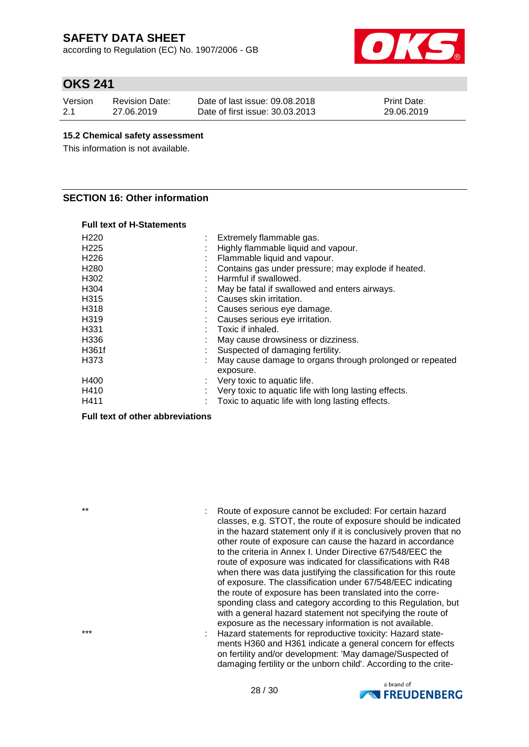according to Regulation (EC) No. 1907/2006 - GB



## **OKS 241**

| Version | <b>Revision Date:</b> | Date of last issue: 09.08.2018  | <b>Print Date:</b> |
|---------|-----------------------|---------------------------------|--------------------|
| 2.1     | 27.06.2019            | Date of first issue: 30.03.2013 | 29.06.2019         |

#### **15.2 Chemical safety assessment**

This information is not available.

#### **SECTION 16: Other information**

|  |  | Full text of H-Statements |
|--|--|---------------------------|
|--|--|---------------------------|

| H220  |          | Extremely flammable gas.                                              |
|-------|----------|-----------------------------------------------------------------------|
| H225  | ٠.<br>÷. | Highly flammable liquid and vapour.                                   |
| H226  |          | Flammable liquid and vapour.                                          |
| H280  |          | Contains gas under pressure; may explode if heated.                   |
| H302  |          | Harmful if swallowed.                                                 |
| H304  |          | May be fatal if swallowed and enters airways.                         |
| H315  |          | Causes skin irritation.                                               |
| H318  |          | Causes serious eye damage.                                            |
| H319  |          | Causes serious eye irritation.                                        |
| H331  |          | Toxic if inhaled.                                                     |
| H336  |          | May cause drowsiness or dizziness.                                    |
| H361f |          | Suspected of damaging fertility.                                      |
| H373  |          | May cause damage to organs through prolonged or repeated<br>exposure. |
| H400  |          | Very toxic to aquatic life.                                           |
| H410  |          | Very toxic to aquatic life with long lasting effects.                 |
| H411  |          | Toxic to aquatic life with long lasting effects.                      |
|       |          |                                                                       |

#### **Full text of other abbreviations**

\*\* : Route of exposure cannot be excluded: For certain hazard classes, e.g. STOT, the route of exposure should be indicated in the hazard statement only if it is conclusively proven that no other route of exposure can cause the hazard in accordance to the criteria in Annex I. Under Directive 67/548/EEC the route of exposure was indicated for classifications with R48 when there was data justifying the classification for this route of exposure. The classification under 67/548/EEC indicating the route of exposure has been translated into the corresponding class and category according to this Regulation, but with a general hazard statement not specifying the route of exposure as the necessary information is not available. \*\*\* : Hazard statements for reproductive toxicity: Hazard statements H360 and H361 indicate a general concern for effects on fertility and/or development: 'May damage/Suspected of damaging fertility or the unborn child'. According to the crite-

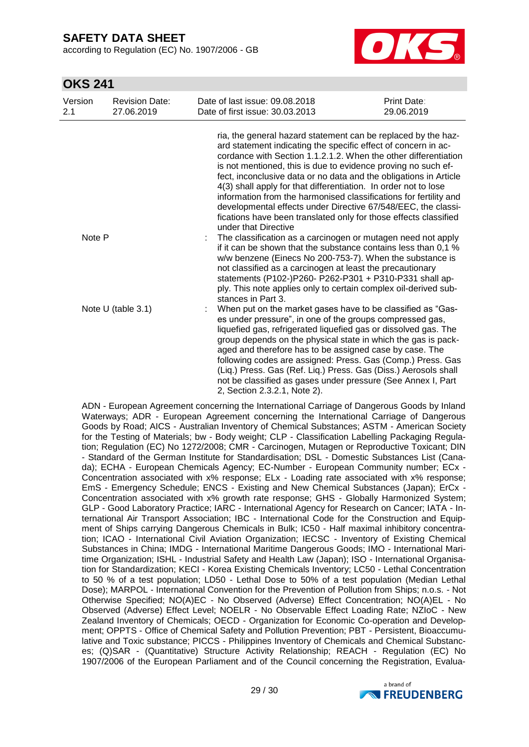according to Regulation (EC) No. 1907/2006 - GB



## **OKS 241**

| Version<br>2.1 | <b>Revision Date:</b><br>27.06.2019 | Date of last issue: 09.08.2018<br>Date of first issue: 30.03.2013                                                                                                                                                                                                                                                                                                                                                                                                                                                                                                                                                                             | Print Date:<br>29.06.2019 |
|----------------|-------------------------------------|-----------------------------------------------------------------------------------------------------------------------------------------------------------------------------------------------------------------------------------------------------------------------------------------------------------------------------------------------------------------------------------------------------------------------------------------------------------------------------------------------------------------------------------------------------------------------------------------------------------------------------------------------|---------------------------|
|                |                                     | ria, the general hazard statement can be replaced by the haz-<br>ard statement indicating the specific effect of concern in ac-<br>cordance with Section 1.1.2.1.2. When the other differentiation<br>is not mentioned, this is due to evidence proving no such ef-<br>fect, inconclusive data or no data and the obligations in Article<br>4(3) shall apply for that differentiation. In order not to lose<br>information from the harmonised classifications for fertility and<br>developmental effects under Directive 67/548/EEC, the classi-<br>fications have been translated only for those effects classified<br>under that Directive |                           |
| Note P         |                                     | The classification as a carcinogen or mutagen need not apply<br>if it can be shown that the substance contains less than 0,1 %<br>w/w benzene (Einecs No 200-753-7). When the substance is<br>not classified as a carcinogen at least the precautionary<br>statements (P102-)P260- P262-P301 + P310-P331 shall ap-<br>ply. This note applies only to certain complex oil-derived sub-<br>stances in Part 3.                                                                                                                                                                                                                                   |                           |
|                | Note U (table 3.1)                  | When put on the market gases have to be classified as "Gas-<br>es under pressure", in one of the groups compressed gas,<br>liquefied gas, refrigerated liquefied gas or dissolved gas. The<br>group depends on the physical state in which the gas is pack-<br>aged and therefore has to be assigned case by case. The<br>following codes are assigned: Press. Gas (Comp.) Press. Gas<br>(Liq.) Press. Gas (Ref. Liq.) Press. Gas (Diss.) Aerosols shall<br>not be classified as gases under pressure (See Annex I, Part<br>2, Section 2.3.2.1, Note 2).                                                                                      |                           |

ADN - European Agreement concerning the International Carriage of Dangerous Goods by Inland Waterways; ADR - European Agreement concerning the International Carriage of Dangerous Goods by Road; AICS - Australian Inventory of Chemical Substances; ASTM - American Society for the Testing of Materials; bw - Body weight; CLP - Classification Labelling Packaging Regulation; Regulation (EC) No 1272/2008; CMR - Carcinogen, Mutagen or Reproductive Toxicant; DIN - Standard of the German Institute for Standardisation; DSL - Domestic Substances List (Canada); ECHA - European Chemicals Agency; EC-Number - European Community number; ECx - Concentration associated with x% response; ELx - Loading rate associated with x% response; EmS - Emergency Schedule; ENCS - Existing and New Chemical Substances (Japan); ErCx - Concentration associated with x% growth rate response; GHS - Globally Harmonized System; GLP - Good Laboratory Practice; IARC - International Agency for Research on Cancer; IATA - International Air Transport Association; IBC - International Code for the Construction and Equipment of Ships carrying Dangerous Chemicals in Bulk; IC50 - Half maximal inhibitory concentration; ICAO - International Civil Aviation Organization; IECSC - Inventory of Existing Chemical Substances in China; IMDG - International Maritime Dangerous Goods; IMO - International Maritime Organization; ISHL - Industrial Safety and Health Law (Japan); ISO - International Organisation for Standardization; KECI - Korea Existing Chemicals Inventory; LC50 - Lethal Concentration to 50 % of a test population; LD50 - Lethal Dose to 50% of a test population (Median Lethal Dose); MARPOL - International Convention for the Prevention of Pollution from Ships; n.o.s. - Not Otherwise Specified; NO(A)EC - No Observed (Adverse) Effect Concentration; NO(A)EL - No Observed (Adverse) Effect Level; NOELR - No Observable Effect Loading Rate; NZIoC - New Zealand Inventory of Chemicals; OECD - Organization for Economic Co-operation and Development; OPPTS - Office of Chemical Safety and Pollution Prevention; PBT - Persistent, Bioaccumulative and Toxic substance; PICCS - Philippines Inventory of Chemicals and Chemical Substances; (Q)SAR - (Quantitative) Structure Activity Relationship; REACH - Regulation (EC) No 1907/2006 of the European Parliament and of the Council concerning the Registration, Evalua-